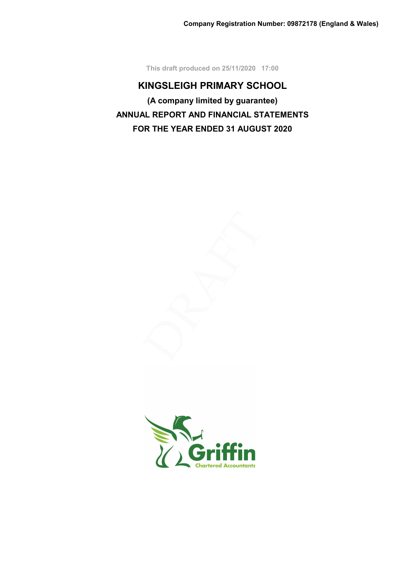This draft produced on 25/11/2020 17:00

# KINGSLEIGH PRIMARY SCHOOL (A company limited by guarantee) ANNUAL REPORT AND FINANCIAL STATEMENTS FOR THE YEAR ENDED 31 AUGUST 2020

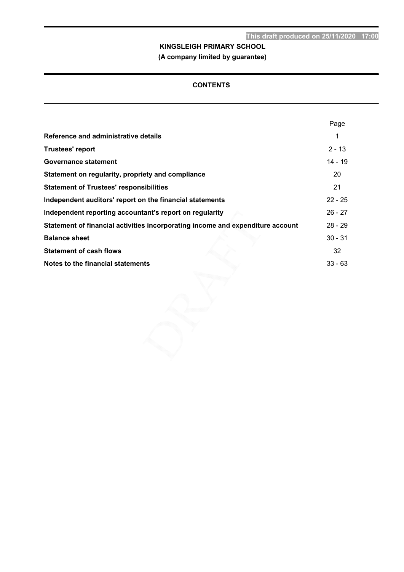# (A company limited by guarantee)

# **CONTENTS**

|                                                                                | Page      |
|--------------------------------------------------------------------------------|-----------|
| Reference and administrative details                                           |           |
| Trustees' report                                                               | $2 - 13$  |
| <b>Governance statement</b>                                                    | $14 - 19$ |
| Statement on regularity, propriety and compliance                              | 20        |
| <b>Statement of Trustees' responsibilities</b>                                 | 21        |
| Independent auditors' report on the financial statements                       | $22 - 25$ |
| Independent reporting accountant's report on regularity                        | $26 - 27$ |
| Statement of financial activities incorporating income and expenditure account | $28 - 29$ |
| <b>Balance sheet</b>                                                           | $30 - 31$ |
| <b>Statement of cash flows</b>                                                 | 32        |
| Notes to the financial statements                                              | $33 - 63$ |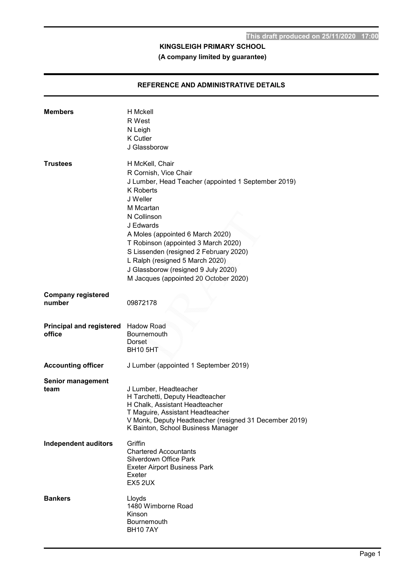# REFERENCE AND ADMINISTRATIVE DETAILS

| <b>Members</b>                                | H Mckell<br>R West<br>N Leigh<br><b>K</b> Cutler<br>J Glassborow                                                                                                                                                                                                                                                                                                                                                 |
|-----------------------------------------------|------------------------------------------------------------------------------------------------------------------------------------------------------------------------------------------------------------------------------------------------------------------------------------------------------------------------------------------------------------------------------------------------------------------|
| <b>Trustees</b>                               | H McKell, Chair<br>R Cornish, Vice Chair<br>J Lumber, Head Teacher (appointed 1 September 2019)<br><b>K</b> Roberts<br>J Weller<br>M Mcartan<br>N Collinson<br>J Edwards<br>A Moles (appointed 6 March 2020)<br>T Robinson (appointed 3 March 2020)<br>S Lissenden (resigned 2 February 2020)<br>L Ralph (resigned 5 March 2020)<br>J Glassborow (resigned 9 July 2020)<br>M Jacques (appointed 20 October 2020) |
| <b>Company registered</b><br>number           | 09872178                                                                                                                                                                                                                                                                                                                                                                                                         |
| Principal and registered Hadow Road<br>office |                                                                                                                                                                                                                                                                                                                                                                                                                  |
|                                               | <b>Bournemouth</b><br>Dorset<br><b>BH10 5HT</b>                                                                                                                                                                                                                                                                                                                                                                  |
| <b>Accounting officer</b>                     | J Lumber (appointed 1 September 2019)                                                                                                                                                                                                                                                                                                                                                                            |
| <b>Senior management</b><br>team              | J Lumber, Headteacher<br>H Tarchetti, Deputy Headteacher<br>H Chalk, Assistant Headteacher<br>T Maguire, Assistant Headteacher<br>V Monk, Deputy Headteacher (resigned 31 December 2019)<br>K Bainton, School Business Manager                                                                                                                                                                                   |
| <b>Independent auditors</b>                   | Griffin<br><b>Chartered Accountants</b><br>Silverdown Office Park<br><b>Exeter Airport Business Park</b><br>Exeter<br><b>EX5 2UX</b>                                                                                                                                                                                                                                                                             |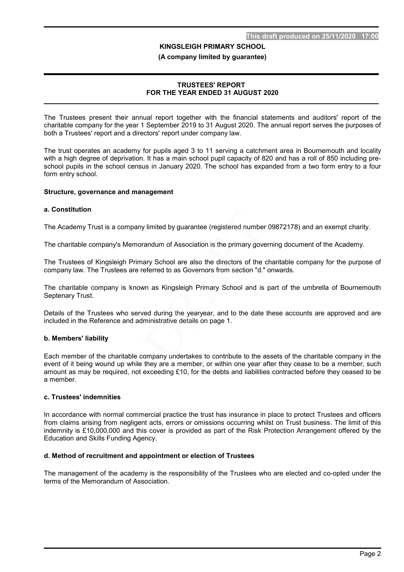#### (A company limited by guarantee)

#### TRUSTEES' REPORT FOR THE YEAR ENDED 31 AUGUST 2020

The Trustees present their annual report together with the financial statements and auditors' report of the charitable company for the year 1 September 2019 to 31 August 2020. The annual report serves the purposes of both a Trustees' report and a directors' report under company law.

The trust operates an academy for pupils aged 3 to 11 serving a catchment area in Bournemouth and locality with a high degree of deprivation. It has a main school pupil capacity of 820 and has a roll of 850 including preschool pupils in the school census in January 2020. The school has expanded from a two form entry to a four form entry school.

#### Structure, governance and management

#### a. Constitution

The Academy Trust is a company limited by guarantee (registered number 09872178) and an exempt charity.

The charitable company's Memorandum of Association is the primary governing document of the Academy.

The Trustees of Kingsleigh Primary School are also the directors of the charitable company for the purpose of company law. The Trustees are referred to as Governors from section "d." onwards.

The charitable company is known as Kingsleigh Primary School and is part of the umbrella of Bournemouth Septenary Trust.

Details of the Trustees who served during the yearyear, and to the date these accounts are approved and are included in the Reference and administrative details on page 1.

#### b. Members' liability

Each member of the charitable company undertakes to contribute to the assets of the charitable company in the event of it being wound up while they are a member, or within one year after they cease to be a member, such amount as may be required, not exceeding £10, for the debts and liabilities contracted before they ceased to be a member.

#### c. Trustees' indemnities

In accordance with normal commercial practice the trust has insurance in place to protect Trustees and officers from claims arising from negligent acts, errors or omissions occurring whilst on Trust business. The limit of this indemnity is £10,000,000 and this cover is provided as part of the Risk Protection Arrangement offered by the Education and Skills Funding Agency.

#### d. Method of recruitment and appointment or election of Trustees

The management of the academy is the responsibility of the Trustees who are elected and co-opted under the terms of the Memorandum of Association.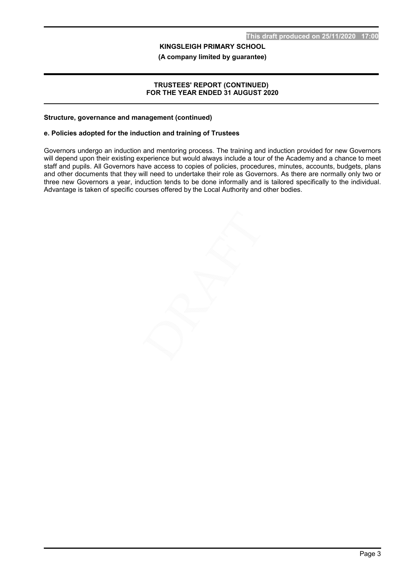(A company limited by guarantee)

#### TRUSTEES' REPORT (CONTINUED) FOR THE YEAR ENDED 31 AUGUST 2020

#### Structure, governance and management (continued)

#### e. Policies adopted for the induction and training of Trustees

Governors undergo an induction and mentoring process. The training and induction provided for new Governors will depend upon their existing experience but would always include a tour of the Academy and a chance to meet staff and pupils. All Governors have access to copies of policies, procedures, minutes, accounts, budgets, plans and other documents that they will need to undertake their role as Governors. As there are normally only two or three new Governors a year, induction tends to be done informally and is tailored specifically to the individual. Advantage is taken of specific courses offered by the Local Authority and other bodies.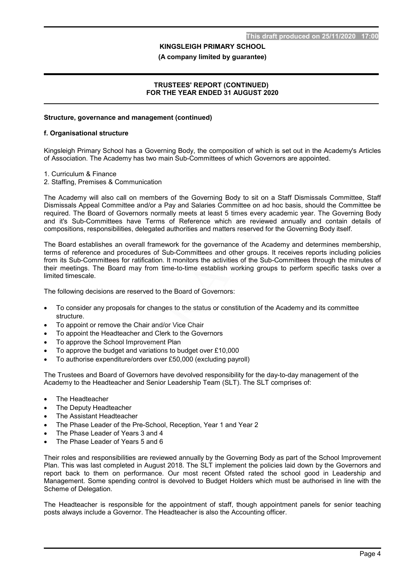#### (A company limited by guarantee)

#### TRUSTEES' REPORT (CONTINUED) FOR THE YEAR ENDED 31 AUGUST 2020

### Structure, governance and management (continued)

#### f. Organisational structure

Kingsleigh Primary School has a Governing Body, the composition of which is set out in the Academy's Articles of Association. The Academy has two main Sub-Committees of which Governors are appointed.

- 1. Curriculum & Finance
- 2. Staffing, Premises & Communication

The Academy will also call on members of the Governing Body to sit on a Staff Dismissals Committee, Staff Dismissals Appeal Committee and/or a Pay and Salaries Committee on ad hoc basis, should the Committee be required. The Board of Governors normally meets at least 5 times every academic year. The Governing Body and it's Sub-Committees have Terms of Reference which are reviewed annually and contain details of compositions, responsibilities, delegated authorities and matters reserved for the Governing Body itself.

The Board establishes an overall framework for the governance of the Academy and determines membership, terms of reference and procedures of Sub-Committees and other groups. It receives reports including policies from its Sub-Committees for ratification. It monitors the activities of the Sub-Committees through the minutes of their meetings. The Board may from time-to-time establish working groups to perform specific tasks over a limited timescale.

The following decisions are reserved to the Board of Governors:

- To consider any proposals for changes to the status or constitution of the Academy and its committee structure.
- To appoint or remove the Chair and/or Vice Chair
- To appoint the Headteacher and Clerk to the Governors
- To approve the School Improvement Plan
- To approve the budget and variations to budget over £10,000
- To authorise expenditure/orders over £50,000 (excluding payroll)

The Trustees and Board of Governors have devolved responsibility for the day-to-day management of the Academy to the Headteacher and Senior Leadership Team (SLT). The SLT comprises of:

- The Headteacher
- The Deputy Headteacher
- The Assistant Headteacher
- The Phase Leader of the Pre-School, Reception, Year 1 and Year 2
- The Phase Leader of Years 3 and 4
- The Phase Leader of Years 5 and 6

Their roles and responsibilities are reviewed annually by the Governing Body as part of the School Improvement Plan. This was last completed in August 2018. The SLT implement the policies laid down by the Governors and report back to them on performance. Our most recent Ofsted rated the school good in Leadership and Management. Some spending control is devolved to Budget Holders which must be authorised in line with the Scheme of Delegation.

The Headteacher is responsible for the appointment of staff, though appointment panels for senior teaching posts always include a Governor. The Headteacher is also the Accounting officer.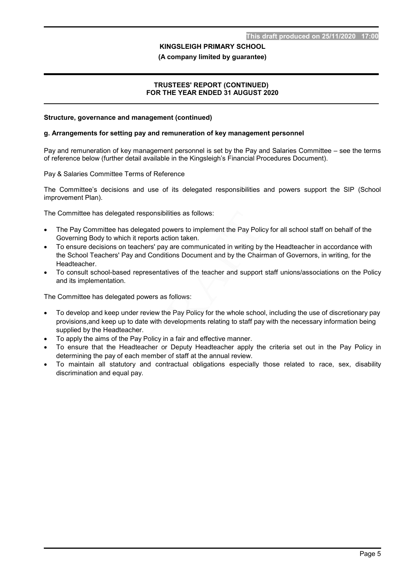#### (A company limited by guarantee)

#### TRUSTEES' REPORT (CONTINUED) FOR THE YEAR ENDED 31 AUGUST 2020

#### Structure, governance and management (continued)

#### g. Arrangements for setting pay and remuneration of key management personnel

Pay and remuneration of key management personnel is set by the Pay and Salaries Committee – see the terms of reference below (further detail available in the Kingsleigh's Financial Procedures Document).

Pay & Salaries Committee Terms of Reference

The Committee's decisions and use of its delegated responsibilities and powers support the SIP (School improvement Plan).

The Committee has delegated responsibilities as follows:

- The Pay Committee has delegated powers to implement the Pay Policy for all school staff on behalf of the Governing Body to which it reports action taken.
- To ensure decisions on teachers' pay are communicated in writing by the Headteacher in accordance with the School Teachers' Pay and Conditions Document and by the Chairman of Governors, in writing, for the Headteacher.
- To consult school-based representatives of the teacher and support staff unions/associations on the Policy and its implementation.

The Committee has delegated powers as follows:

- To develop and keep under review the Pay Policy for the whole school, including the use of discretionary pay provisions,and keep up to date with developments relating to staff pay with the necessary information being supplied by the Headteacher.
- To apply the aims of the Pay Policy in a fair and effective manner.
- To ensure that the Headteacher or Deputy Headteacher apply the criteria set out in the Pay Policy in determining the pay of each member of staff at the annual review.
- To maintain all statutory and contractual obligations especially those related to race, sex, disability discrimination and equal pay.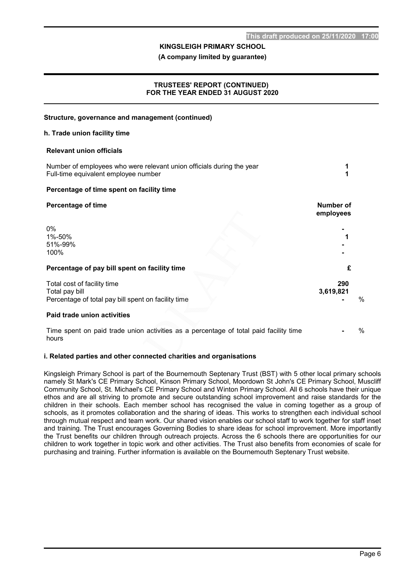(A company limited by guarantee)

#### TRUSTEES' REPORT (CONTINUED) FOR THE YEAR ENDED 31 AUGUST 2020

### Structure, governance and management (continued)

#### h. Trade union facility time

#### Relevant union officials

| Number of employees who were relevant union officials during the year<br>Full-time equivalent employee number |                        |
|---------------------------------------------------------------------------------------------------------------|------------------------|
| Percentage of time spent on facility time                                                                     |                        |
| <b>Percentage of time</b>                                                                                     | Number of<br>employees |
| $0\%$<br>1%-50%<br>51%-99%<br>100%                                                                            |                        |
| Percentage of pay bill spent on facility time                                                                 | £                      |
| Total cost of facility time<br>Total pay bill<br>Percentage of total pay bill spent on facility time          | 290<br>3,619,821<br>%  |
| Paid trade union activities                                                                                   |                        |

Time spent on paid trade union activities as a percentage of total paid facility time hours  $\frac{0}{0}$ 

#### i. Related parties and other connected charities and organisations

Kingsleigh Primary School is part of the Bournemouth Septenary Trust (BST) with 5 other local primary schools namely St Mark's CE Primary School, Kinson Primary School, Moordown St John's CE Primary School, Muscliff Community School, St. Michael's CE Primary School and Winton Primary School. All 6 schools have their unique ethos and are all striving to promote and secure outstanding school improvement and raise standards for the children in their schools. Each member school has recognised the value in coming together as a group of schools, as it promotes collaboration and the sharing of ideas. This works to strengthen each individual school through mutual respect and team work. Our shared vision enables our school staff to work together for staff inset and training. The Trust encourages Governing Bodies to share ideas for school improvement. More importantly the Trust benefits our children through outreach projects. Across the 6 schools there are opportunities for our children to work together in topic work and other activities. The Trust also benefits from economies of scale for purchasing and training. Further information is available on the Bournemouth Septenary Trust website. İ,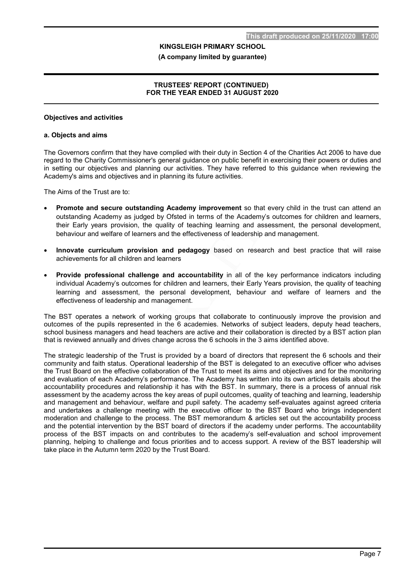#### (A company limited by guarantee)

#### TRUSTEES' REPORT (CONTINUED) FOR THE YEAR ENDED 31 AUGUST 2020

#### Objectives and activities

#### a. Objects and aims

The Governors confirm that they have complied with their duty in Section 4 of the Charities Act 2006 to have due regard to the Charity Commissioner's general guidance on public benefit in exercising their powers or duties and in setting our objectives and planning our activities. They have referred to this guidance when reviewing the Academy's aims and objectives and in planning its future activities.

The Aims of the Trust are to:

- Promote and secure outstanding Academy improvement so that every child in the trust can attend an outstanding Academy as judged by Ofsted in terms of the Academy's outcomes for children and learners, their Early years provision, the quality of teaching learning and assessment, the personal development, behaviour and welfare of learners and the effectiveness of leadership and management.
- Innovate curriculum provision and pedagogy based on research and best practice that will raise achievements for all children and learners
- Provide professional challenge and accountability in all of the key performance indicators including individual Academy's outcomes for children and learners, their Early Years provision, the quality of teaching learning and assessment, the personal development, behaviour and welfare of learners and the effectiveness of leadership and management.

The BST operates a network of working groups that collaborate to continuously improve the provision and outcomes of the pupils represented in the 6 academies. Networks of subject leaders, deputy head teachers, school business managers and head teachers are active and their collaboration is directed by a BST action plan that is reviewed annually and drives change across the 6 schools in the 3 aims identified above.

The strategic leadership of the Trust is provided by a board of directors that represent the 6 schools and their community and faith status. Operational leadership of the BST is delegated to an executive officer who advises the Trust Board on the effective collaboration of the Trust to meet its aims and objectives and for the monitoring and evaluation of each Academy's performance. The Academy has written into its own articles details about the accountability procedures and relationship it has with the BST. In summary, there is a process of annual risk assessment by the academy across the key areas of pupil outcomes, quality of teaching and learning, leadership and management and behaviour, welfare and pupil safety. The academy self-evaluates against agreed criteria and undertakes a challenge meeting with the executive officer to the BST Board who brings independent moderation and challenge to the process. The BST memorandum & articles set out the accountability process and the potential intervention by the BST board of directors if the academy under performs. The accountability process of the BST impacts on and contributes to the academy's self-evaluation and school improvement planning, helping to challenge and focus priorities and to access support. A review of the BST leadership will take place in the Autumn term 2020 by the Trust Board.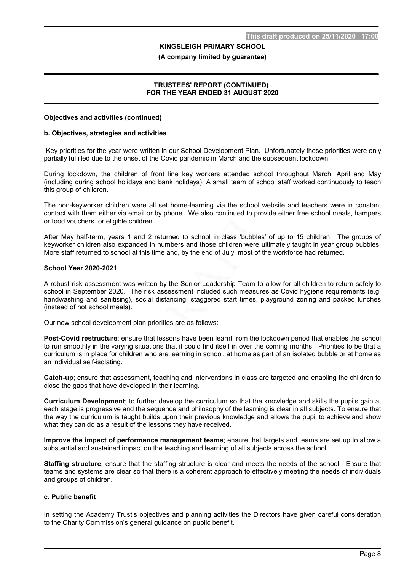#### (A company limited by guarantee)

#### TRUSTEES' REPORT (CONTINUED) FOR THE YEAR ENDED 31 AUGUST 2020

#### Objectives and activities (continued)

#### b. Objectives, strategies and activities

 Key priorities for the year were written in our School Development Plan. Unfortunately these priorities were only partially fulfilled due to the onset of the Covid pandemic in March and the subsequent lockdown.

During lockdown, the children of front line key workers attended school throughout March, April and May (including during school holidays and bank holidays). A small team of school staff worked continuously to teach this group of children.

The non-keyworker children were all set home-learning via the school website and teachers were in constant contact with them either via email or by phone. We also continued to provide either free school meals, hampers or food vouchers for eligible children.

After May half-term, years 1 and 2 returned to school in class 'bubbles' of up to 15 children. The groups of keyworker children also expanded in numbers and those children were ultimately taught in year group bubbles. More staff returned to school at this time and, by the end of July, most of the workforce had returned.

#### School Year 2020-2021

A robust risk assessment was written by the Senior Leadership Team to allow for all children to return safely to school in September 2020. The risk assessment included such measures as Covid hygiene requirements (e.g. handwashing and sanitising), social distancing, staggered start times, playground zoning and packed lunches (instead of hot school meals).

Our new school development plan priorities are as follows:

Post-Covid restructure; ensure that lessons have been learnt from the lockdown period that enables the school to run smoothly in the varying situations that it could find itself in over the coming months. Priorities to be that a curriculum is in place for children who are learning in school, at home as part of an isolated bubble or at home as an individual self-isolating.

Catch-up; ensure that assessment, teaching and interventions in class are targeted and enabling the children to close the gaps that have developed in their learning.

Curriculum Development; to further develop the curriculum so that the knowledge and skills the pupils gain at each stage is progressive and the sequence and philosophy of the learning is clear in all subjects. To ensure that the way the curriculum is taught builds upon their previous knowledge and allows the pupil to achieve and show what they can do as a result of the lessons they have received.

Improve the impact of performance management teams; ensure that targets and teams are set up to allow a substantial and sustained impact on the teaching and learning of all subjects across the school.

Staffing structure; ensure that the staffing structure is clear and meets the needs of the school. Ensure that teams and systems are clear so that there is a coherent approach to effectively meeting the needs of individuals and groups of children.

#### c. Public benefit

In setting the Academy Trust's objectives and planning activities the Directors have given careful consideration to the Charity Commission's general guidance on public benefit.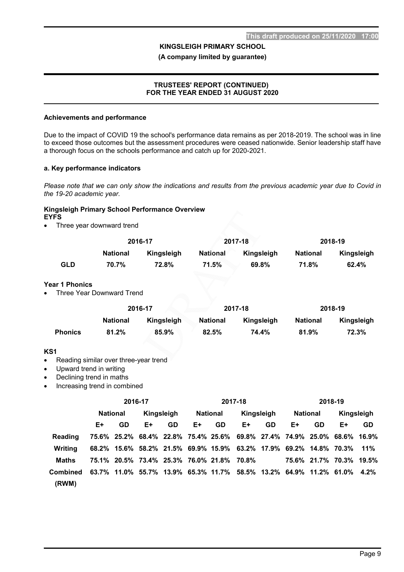(A company limited by guarantee)

#### TRUSTEES' REPORT (CONTINUED) FOR THE YEAR ENDED 31 AUGUST 2020

#### Achievements and performance

Due to the impact of COVID 19 the school's performance data remains as per 2018-2019. The school was in line to exceed those outcomes but the assessment procedures were ceased nationwide. Senior leadership staff have a thorough focus on the schools performance and catch up for 2020-2021.

#### a. Key performance indicators

Please note that we can only show the indications and results from the previous academic year due to Covid in the 19-20 academic year.

#### Kingsleigh Primary School Performance Overview EYFS

• Three year downward trend

|     |                 | 2016-17    |                 | 2017-18    | 2018-19         |            |  |
|-----|-----------------|------------|-----------------|------------|-----------------|------------|--|
|     | <b>National</b> | Kingsleigh | <b>National</b> | Kingsleigh | <b>National</b> | Kingsleigh |  |
| GLD | 70.7%           | 72.8%      | 71.5%           | 69.8%      | 71.8%           | 62.4%      |  |

#### Year 1 Phonics

• Three Year Downward Trend

|                | 2016-17         |            |                 | 2017-18    | 2018-19         |            |  |
|----------------|-----------------|------------|-----------------|------------|-----------------|------------|--|
|                | <b>National</b> | Kingsleigh | <b>National</b> | Kingsleigh | <b>National</b> | Kingsleigh |  |
| <b>Phonics</b> | 81.2%           | 85.9%      | 82.5%           | 74.4%      | 81.9%           | 72.3%      |  |

# KS1

- Reading similar over three-year trend
- Upward trend in writing
- Declining trend in maths
- Increasing trend in combined

|                | 2016-17         |           |                                           | 2017-18   |                 |    | 2018-19                                                                 |           |                 |                         |            |           |
|----------------|-----------------|-----------|-------------------------------------------|-----------|-----------------|----|-------------------------------------------------------------------------|-----------|-----------------|-------------------------|------------|-----------|
|                | <b>National</b> |           | Kingsleigh                                |           | <b>National</b> |    | Kingsleigh                                                              |           | <b>National</b> |                         | Kingsleigh |           |
|                | E+              | <b>GD</b> | E+                                        | <b>GD</b> | E+              | GD | E+                                                                      | <b>GD</b> | E+              | <b>GD</b>               | E+         | <b>GD</b> |
| <b>Reading</b> |                 |           |                                           |           |                 |    | 75.6% 25.2% 68.4% 22.8% 75.4% 25.6% 69.8% 27.4% 74.9% 25.0% 68.6% 16.9% |           |                 |                         |            |           |
| Writina        |                 |           |                                           |           |                 |    | 68.2% 15.6% 58.2% 21.5% 69.9% 15.9% 63.2% 17.9% 69.2% 14.8% 70.3% 11%   |           |                 |                         |            |           |
| Maths          |                 |           | 75.1% 20.5% 73.4% 25.3% 76.0% 21.8% 70.8% |           |                 |    |                                                                         |           |                 | 75.6% 21.7% 70.3% 19.5% |            |           |
| Combined       |                 |           |                                           |           |                 |    | 63.7% 11.0% 55.7% 13.9% 65.3% 11.7% 58.5% 13.2% 64.9% 11.2% 61.0% 4.2%  |           |                 |                         |            |           |
| (RWM)          |                 |           |                                           |           |                 |    |                                                                         |           |                 |                         |            |           |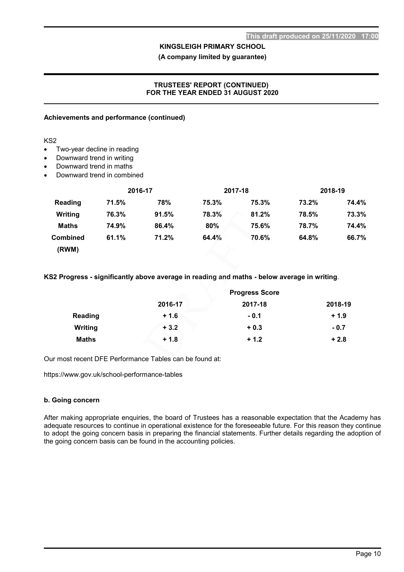(A company limited by guarantee)

#### TRUSTEES' REPORT (CONTINUED) FOR THE YEAR ENDED 31 AUGUST 2020

#### Achievements and performance (continued)

KS2

- Two-year decline in reading
- Downward trend in writing
- Downward trend in maths
- Downward trend in combined

|                 |       | 2016-17 |       | 2017-18 | 2018-19 |       |
|-----------------|-------|---------|-------|---------|---------|-------|
| Reading         | 71.5% | 78%     | 75.3% | 75.3%   | 73.2%   | 74.4% |
| Writing         | 76.3% | 91.5%   | 78.3% | 81.2%   | 78.5%   | 73.3% |
| Maths           | 74.9% | 86.4%   | 80%   | 75.6%   | 78.7%   | 74.4% |
| <b>Combined</b> | 61.1% | 71.2%   | 64.4% | 70.6%   | 64.8%   | 66.7% |
| (RWM)           |       |         |       |         |         |       |

KS2 Progress - significantly above average in reading and maths - below average in writing.

|              | <b>Progress Score</b> |         |         |  |  |
|--------------|-----------------------|---------|---------|--|--|
|              | 2016-17               | 2017-18 | 2018-19 |  |  |
| Reading      | $+1.6$                | $-0.1$  | $+1.9$  |  |  |
| Writing      | $+3.2$                | $+0.3$  | $-0.7$  |  |  |
| <b>Maths</b> | $+1.8$                | $+1.2$  | $+2.8$  |  |  |

Our most recent DFE Performance Tables can be found at:

https://www.gov.uk/school-performance-tables

#### b. Going concern

After making appropriate enquiries, the board of Trustees has a reasonable expectation that the Academy has adequate resources to continue in operational existence for the foreseeable future. For this reason they continue to adopt the going concern basis in preparing the financial statements. Further details regarding the adoption of the going concern basis can be found in the accounting policies.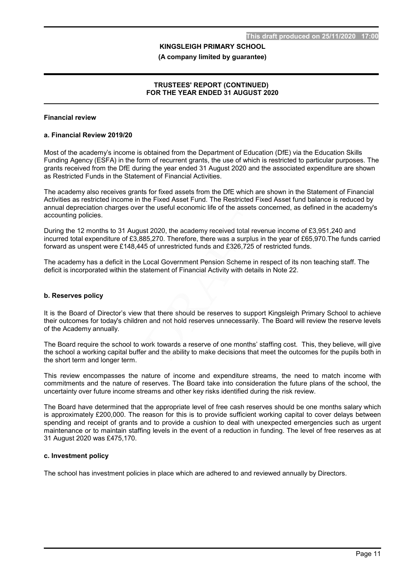#### (A company limited by guarantee)

### TRUSTEES' REPORT (CONTINUED) FOR THE YEAR ENDED 31 AUGUST 2020

#### Financial review

#### a. Financial Review 2019/20

Most of the academy's income is obtained from the Department of Education (DfE) via the Education Skills Funding Agency (ESFA) in the form of recurrent grants, the use of which is restricted to particular purposes. The grants received from the DfE during the year ended 31 August 2020 and the associated expenditure are shown as Restricted Funds in the Statement of Financial Activities.

The academy also receives grants for fixed assets from the DfE which are shown in the Statement of Financial Activities as restricted income in the Fixed Asset Fund. The Restricted Fixed Asset fund balance is reduced by annual depreciation charges over the useful economic life of the assets concerned, as defined in the academy's accounting policies.

During the 12 months to 31 August 2020, the academy received total revenue income of £3,951,240 and incurred total expenditure of £3,885,270. Therefore, there was a surplus in the year of £65,970.The funds carried forward as unspent were £148,445 of unrestricted funds and £326,725 of restricted funds.

The academy has a deficit in the Local Government Pension Scheme in respect of its non teaching staff. The deficit is incorporated within the statement of Financial Activity with details in Note 22.

#### b. Reserves policy

It is the Board of Director's view that there should be reserves to support Kingsleigh Primary School to achieve their outcomes for today's children and not hold reserves unnecessarily. The Board will review the reserve levels of the Academy annually.

The Board require the school to work towards a reserve of one months' staffing cost. This, they believe, will give the school a working capital buffer and the ability to make decisions that meet the outcomes for the pupils both in the short term and longer term.

This review encompasses the nature of income and expenditure streams, the need to match income with commitments and the nature of reserves. The Board take into consideration the future plans of the school, the uncertainty over future income streams and other key risks identified during the risk review.

The Board have determined that the appropriate level of free cash reserves should be one months salary which is approximately £200,000. The reason for this is to provide sufficient working capital to cover delays between spending and receipt of grants and to provide a cushion to deal with unexpected emergencies such as urgent maintenance or to maintain staffing levels in the event of a reduction in funding. The level of free reserves as at 31 August 2020 was £475,170.

#### c. Investment policy

The school has investment policies in place which are adhered to and reviewed annually by Directors.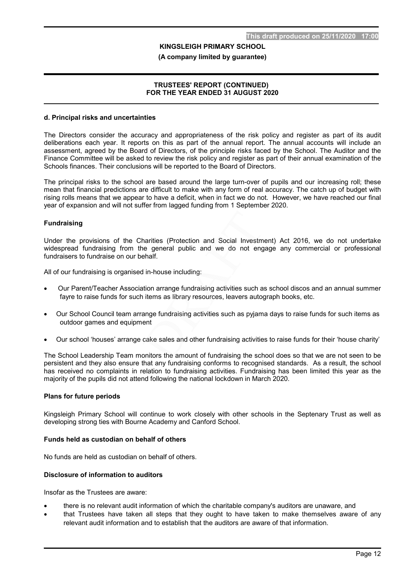#### (A company limited by guarantee)

#### TRUSTEES' REPORT (CONTINUED) FOR THE YEAR ENDED 31 AUGUST 2020

#### d. Principal risks and uncertainties

The Directors consider the accuracy and appropriateness of the risk policy and register as part of its audit deliberations each year. It reports on this as part of the annual report. The annual accounts will include an assessment, agreed by the Board of Directors, of the principle risks faced by the School. The Auditor and the Finance Committee will be asked to review the risk policy and register as part of their annual examination of the Schools finances. Their conclusions will be reported to the Board of Directors.

The principal risks to the school are based around the large turn-over of pupils and our increasing roll; these mean that financial predictions are difficult to make with any form of real accuracy. The catch up of budget with rising rolls means that we appear to have a deficit, when in fact we do not. However, we have reached our final year of expansion and will not suffer from lagged funding from 1 September 2020.

#### **Fundraising**

Under the provisions of the Charities (Protection and Social Investment) Act 2016, we do not undertake widespread fundraising from the general public and we do not engage any commercial or professional fundraisers to fundraise on our behalf.

All of our fundraising is organised in-house including:

- Our Parent/Teacher Association arrange fundraising activities such as school discos and an annual summer fayre to raise funds for such items as library resources, leavers autograph books, etc.
- Our School Council team arrange fundraising activities such as pyjama days to raise funds for such items as outdoor games and equipment
- Our school 'houses' arrange cake sales and other fundraising activities to raise funds for their 'house charity'

The School Leadership Team monitors the amount of fundraising the school does so that we are not seen to be persistent and they also ensure that any fundraising conforms to recognised standards. As a result, the school has received no complaints in relation to fundraising activities. Fundraising has been limited this year as the majority of the pupils did not attend following the national lockdown in March 2020.

#### Plans for future periods

Kingsleigh Primary School will continue to work closely with other schools in the Septenary Trust as well as developing strong ties with Bourne Academy and Canford School.

#### Funds held as custodian on behalf of others

No funds are held as custodian on behalf of others.

#### Disclosure of information to auditors

Insofar as the Trustees are aware:

- there is no relevant audit information of which the charitable company's auditors are unaware, and
- that Trustees have taken all steps that they ought to have taken to make themselves aware of any relevant audit information and to establish that the auditors are aware of that information.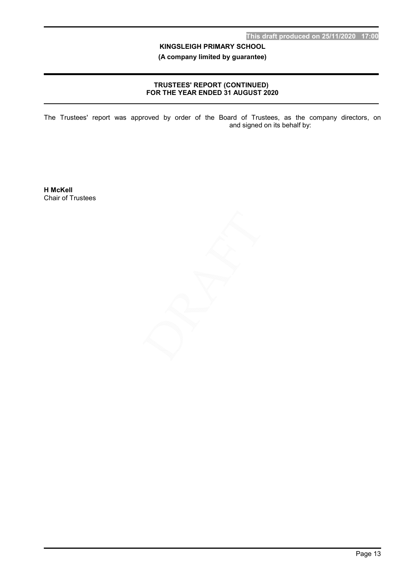(A company limited by guarantee)

### TRUSTEES' REPORT (CONTINUED) FOR THE YEAR ENDED 31 AUGUST 2020

The Trustees' report was approved by order of the Board of Trustees, as the company directors, on  $\blacksquare$  and signed on its behalf by:

H McKell Chair of Trustees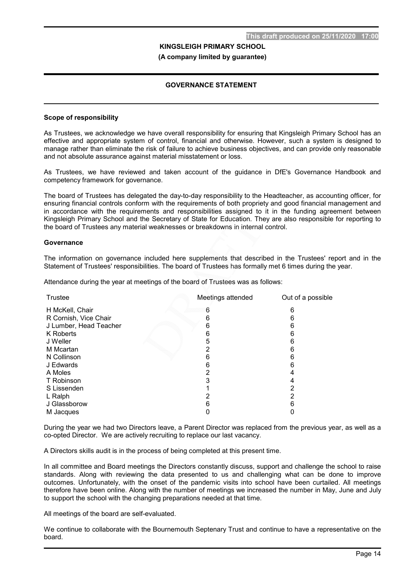### GOVERNANCE STATEMENT

#### Scope of responsibility

As Trustees, we acknowledge we have overall responsibility for ensuring that Kingsleigh Primary School has an effective and appropriate system of control, financial and otherwise. However, such a system is designed to manage rather than eliminate the risk of failure to achieve business objectives, and can provide only reasonable and not absolute assurance against material misstatement or loss.

As Trustees, we have reviewed and taken account of the guidance in DfE's Governance Handbook and competency framework for governance.

The board of Trustees has delegated the day-to-day responsibility to the Headteacher, as accounting officer, for ensuring financial controls conform with the requirements of both propriety and good financial management and in accordance with the requirements and responsibilities assigned to it in the funding agreement between Kingsleigh Primary School and the Secretary of State for Education. They are also responsible for reporting to the board of Trustees any material weaknesses or breakdowns in internal control.

#### **Governance**

The information on governance included here supplements that described in the Trustees' report and in the Statement of Trustees' responsibilities. The board of Trustees has formally met 6 times during the year.

Attendance during the year at meetings of the board of Trustees was as follows:

| <b>Trustee</b>         | Meetings attended | Out of a possible |
|------------------------|-------------------|-------------------|
| H McKell, Chair        | 6                 |                   |
| R Cornish, Vice Chair  |                   |                   |
| J Lumber, Head Teacher |                   |                   |
| K Roberts              | ჩ                 |                   |
| J Weller               | 5                 |                   |
| M Mcartan              |                   |                   |
| N Collinson            |                   |                   |
| J Edwards              | 6                 | n                 |
| A Moles                |                   |                   |
| T Robinson             |                   |                   |
| S Lissenden            |                   |                   |
| L Ralph                |                   |                   |
| J Glassborow           |                   |                   |
| M Jacques              |                   |                   |

During the year we had two Directors leave, a Parent Director was replaced from the previous year, as well as a co-opted Director. We are actively recruiting to replace our last vacancy.

A Directors skills audit is in the process of being completed at this present time.

In all committee and Board meetings the Directors constantly discuss, support and challenge the school to raise standards. Along with reviewing the data presented to us and challenging what can be done to improve outcomes. Unfortunately, with the onset of the pandemic visits into school have been curtailed. All meetings therefore have been online. Along with the number of meetings we increased the number in May, June and July to support the school with the changing preparations needed at that time.

All meetings of the board are self-evaluated.

We continue to collaborate with the Bournemouth Septenary Trust and continue to have a representative on the board.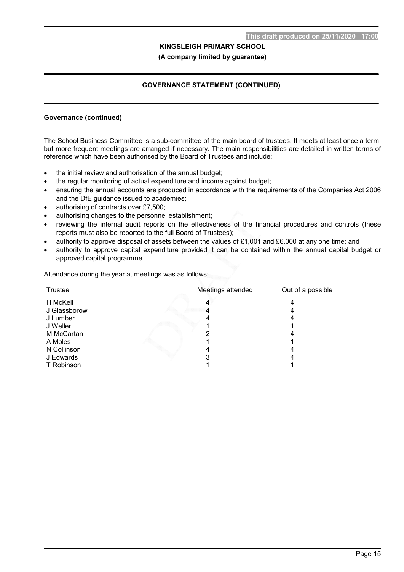# GOVERNANCE STATEMENT (CONTINUED)

#### Governance (continued)

The School Business Committee is a sub-committee of the main board of trustees. It meets at least once a term, but more frequent meetings are arranged if necessary. The main responsibilities are detailed in written terms of reference which have been authorised by the Board of Trustees and include:

- the initial review and authorisation of the annual budget;
- the regular monitoring of actual expenditure and income against budget;
- ensuring the annual accounts are produced in accordance with the requirements of the Companies Act 2006 and the DfE guidance issued to academies;
- authorising of contracts over £7,500;
- authorising changes to the personnel establishment;
- reviewing the internal audit reports on the effectiveness of the financial procedures and controls (these reports must also be reported to the full Board of Trustees);
- authority to approve disposal of assets between the values of £1,001 and £6,000 at any one time; and
- authority to approve capital expenditure provided it can be contained within the annual capital budget or approved capital programme.

Attendance during the year at meetings was as follows:

| Trustee      | Meetings attended | Out of a possible |
|--------------|-------------------|-------------------|
| H McKell     |                   |                   |
| J Glassborow |                   |                   |
| J Lumber     |                   |                   |
| J Weller     |                   |                   |
| M McCartan   |                   |                   |
| A Moles      |                   |                   |
| N Collinson  |                   |                   |
| J Edwards    |                   |                   |
| T Robinson   |                   |                   |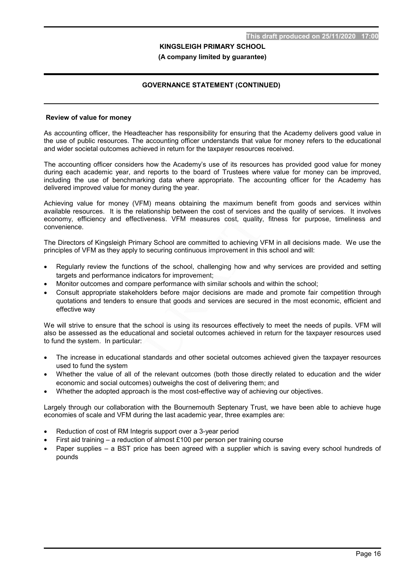# GOVERNANCE STATEMENT (CONTINUED)

#### Review of value for money

As accounting officer, the Headteacher has responsibility for ensuring that the Academy delivers good value in the use of public resources. The accounting officer understands that value for money refers to the educational and wider societal outcomes achieved in return for the taxpayer resources received.

The accounting officer considers how the Academy's use of its resources has provided good value for money during each academic year, and reports to the board of Trustees where value for money can be improved, including the use of benchmarking data where appropriate. The accounting officer for the Academy has delivered improved value for money during the year.

Achieving value for money (VFM) means obtaining the maximum benefit from goods and services within available resources. It is the relationship between the cost of services and the quality of services. It involves economy, efficiency and effectiveness. VFM measures cost, quality, fitness for purpose, timeliness and convenience.

The Directors of Kingsleigh Primary School are committed to achieving VFM in all decisions made. We use the principles of VFM as they apply to securing continuous improvement in this school and will:

- Regularly review the functions of the school, challenging how and why services are provided and setting targets and performance indicators for improvement;
- Monitor outcomes and compare performance with similar schools and within the school;
- Consult appropriate stakeholders before major decisions are made and promote fair competition through quotations and tenders to ensure that goods and services are secured in the most economic, efficient and effective way

We will strive to ensure that the school is using its resources effectively to meet the needs of pupils. VFM will also be assessed as the educational and societal outcomes achieved in return for the taxpayer resources used to fund the system. In particular:

- The increase in educational standards and other societal outcomes achieved given the taxpayer resources used to fund the system
- Whether the value of all of the relevant outcomes (both those directly related to education and the wider economic and social outcomes) outweighs the cost of delivering them; and
- Whether the adopted approach is the most cost-effective way of achieving our objectives.

Largely through our collaboration with the Bournemouth Septenary Trust, we have been able to achieve huge economies of scale and VFM during the last academic year, three examples are:

- Reduction of cost of RM Integris support over a 3-year period
- First aid training a reduction of almost £100 per person per training course
- Paper supplies a BST price has been agreed with a supplier which is saving every school hundreds of pounds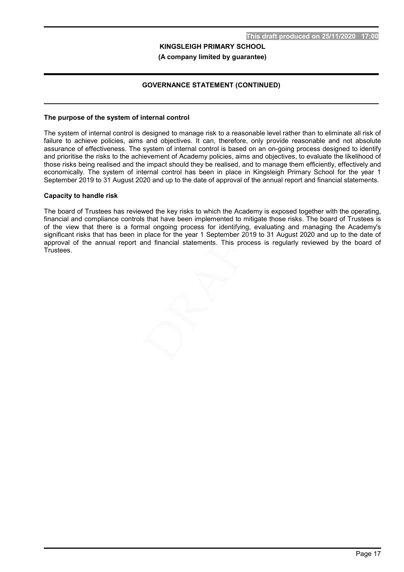# GOVERNANCE STATEMENT (CONTINUED)

#### The purpose of the system of internal control

The system of internal control is designed to manage risk to a reasonable level rather than to eliminate all risk of failure to achieve policies, aims and objectives. It can, therefore, only provide reasonable and not absolute assurance of effectiveness. The system of internal control is based on an on-going process designed to identify and prioritise the risks to the achievement of Academy policies, aims and objectives, to evaluate the likelihood of those risks being realised and the impact should they be realised, and to manage them efficiently, effectively and economically. The system of internal control has been in place in Kingsleigh Primary School for the year 1 September 2019 to 31 August 2020 and up to the date of approval of the annual report and financial statements.

#### Capacity to handle risk

The board of Trustees has reviewed the key risks to which the Academy is exposed together with the operating, financial and compliance controls that have been implemented to mitigate those risks. The board of Trustees is of the view that there is a formal ongoing process for identifying, evaluating and managing the Academy's significant risks that has been in place for the year 1 September 2019 to 31 August 2020 and up to the date of approval of the annual report and financial statements. This process is regularly reviewed by the board of Trustees.

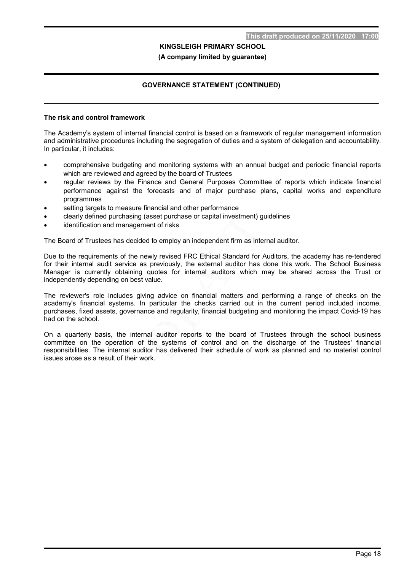#### (A company limited by guarantee)

# GOVERNANCE STATEMENT (CONTINUED)

#### The risk and control framework

The Academy's system of internal financial control is based on a framework of regular management information and administrative procedures including the segregation of duties and a system of delegation and accountability. In particular, it includes:

- comprehensive budgeting and monitoring systems with an annual budget and periodic financial reports which are reviewed and agreed by the board of Trustees
- regular reviews by the Finance and General Purposes Committee of reports which indicate financial performance against the forecasts and of major purchase plans, capital works and expenditure programmes
- setting targets to measure financial and other performance
- clearly defined purchasing (asset purchase or capital investment) guidelines
- identification and management of risks

The Board of Trustees has decided to employ an independent firm as internal auditor.

Due to the requirements of the newly revised FRC Ethical Standard for Auditors, the academy has re-tendered for their internal audit service as previously, the external auditor has done this work. The School Business Manager is currently obtaining quotes for internal auditors which may be shared across the Trust or independently depending on best value.

The reviewer's role includes giving advice on financial matters and performing a range of checks on the academy's financial systems. In particular the checks carried out in the current period included income, purchases, fixed assets, governance and regularity, financial budgeting and monitoring the impact Covid-19 has had on the school.

On a quarterly basis, the internal auditor reports to the board of Trustees through the school business committee on the operation of the systems of control and on the discharge of the Trustees' financial responsibilities. The internal auditor has delivered their schedule of work as planned and no material control issues arose as a result of their work.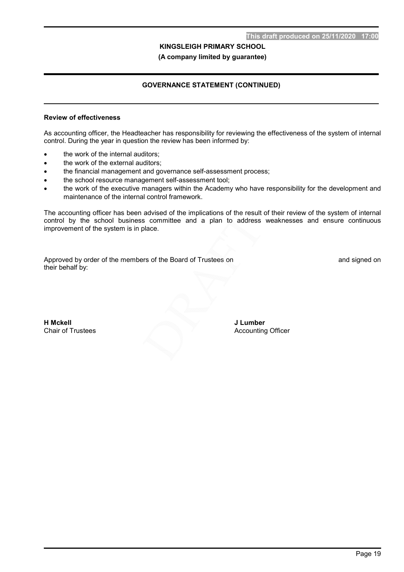(A company limited by guarantee)

# GOVERNANCE STATEMENT (CONTINUED)

#### Review of effectiveness

As accounting officer, the Headteacher has responsibility for reviewing the effectiveness of the system of internal control. During the year in question the review has been informed by:

- the work of the internal auditors;
- the work of the external auditors;
- the financial management and governance self-assessment process;
- the school resource management self-assessment tool;
- the work of the executive managers within the Academy who have responsibility for the development and maintenance of the internal control framework.

The accounting officer has been advised of the implications of the result of their review of the system of internal control by the school business committee and a plan to address weaknesses and ensure continuous improvement of the system is in place.

Approved by order of the members of the Board of Trustees on **Example 20** and signed on their behalf by:

H Mckell Chair of Trustees J Lumber Accounting Officer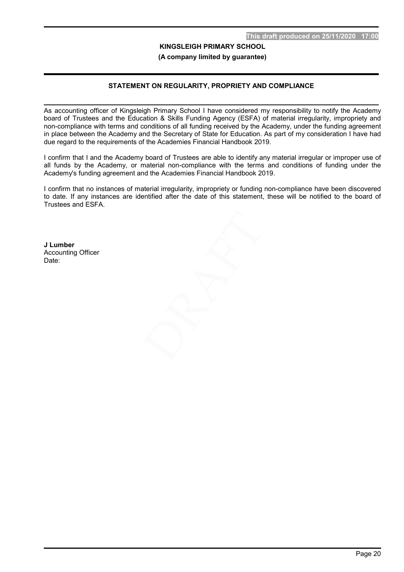# STATEMENT ON REGULARITY, PROPRIETY AND COMPLIANCE

As accounting officer of Kingsleigh Primary School I have considered my responsibility to notify the Academy board of Trustees and the Education & Skills Funding Agency (ESFA) of material irregularity, impropriety and non-compliance with terms and conditions of all funding received by the Academy, under the funding agreement in place between the Academy and the Secretary of State for Education. As part of my consideration I have had due regard to the requirements of the Academies Financial Handbook 2019.

I confirm that I and the Academy board of Trustees are able to identify any material irregular or improper use of all funds by the Academy, or material non-compliance with the terms and conditions of funding under the Academy's funding agreement and the Academies Financial Handbook 2019.

I confirm that no instances of material irregularity, impropriety or funding non-compliance have been discovered to date. If any instances are identified after the date of this statement, these will be notified to the board of Trustees and ESFA.

J Lumber Accounting Officer Date: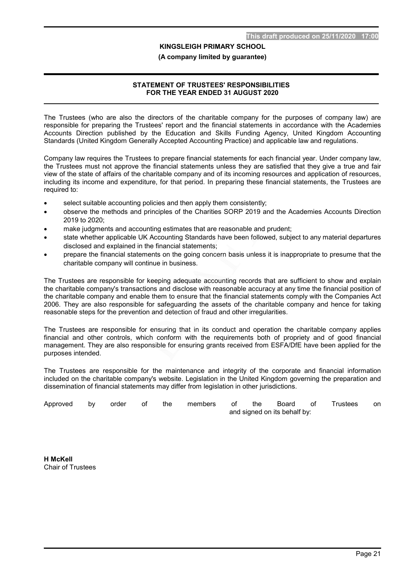#### (A company limited by guarantee)

#### STATEMENT OF TRUSTEES' RESPONSIBILITIES FOR THE YEAR ENDED 31 AUGUST 2020

The Trustees (who are also the directors of the charitable company for the purposes of company law) are responsible for preparing the Trustees' report and the financial statements in accordance with the Academies Accounts Direction published by the Education and Skills Funding Agency, United Kingdom Accounting Standards (United Kingdom Generally Accepted Accounting Practice) and applicable law and regulations.

Company law requires the Trustees to prepare financial statements for each financial year. Under company law, the Trustees must not approve the financial statements unless they are satisfied that they give a true and fair view of the state of affairs of the charitable company and of its incoming resources and application of resources, including its income and expenditure, for that period. In preparing these financial statements, the Trustees are required to:

- select suitable accounting policies and then apply them consistently;
- observe the methods and principles of the Charities SORP 2019 and the Academies Accounts Direction 2019 to 2020;
- make judgments and accounting estimates that are reasonable and prudent;
- state whether applicable UK Accounting Standards have been followed, subject to any material departures disclosed and explained in the financial statements;
- prepare the financial statements on the going concern basis unless it is inappropriate to presume that the charitable company will continue in business.

The Trustees are responsible for keeping adequate accounting records that are sufficient to show and explain the charitable company's transactions and disclose with reasonable accuracy at any time the financial position of the charitable company and enable them to ensure that the financial statements comply with the Companies Act 2006. They are also responsible for safeguarding the assets of the charitable company and hence for taking reasonable steps for the prevention and detection of fraud and other irregularities.

The Trustees are responsible for ensuring that in its conduct and operation the charitable company applies financial and other controls, which conform with the requirements both of propriety and of good financial management. They are also responsible for ensuring grants received from ESFA/DfE have been applied for the purposes intended.

The Trustees are responsible for the maintenance and integrity of the corporate and financial information included on the charitable company's website. Legislation in the United Kingdom governing the preparation and dissemination of financial statements may differ from legislation in other jurisdictions.

| Approved by order of the |  |  |  |                              | members of the Board of Trustees | on |
|--------------------------|--|--|--|------------------------------|----------------------------------|----|
|                          |  |  |  | and signed on its behalf by: |                                  |    |

H McKell Chair of Trustees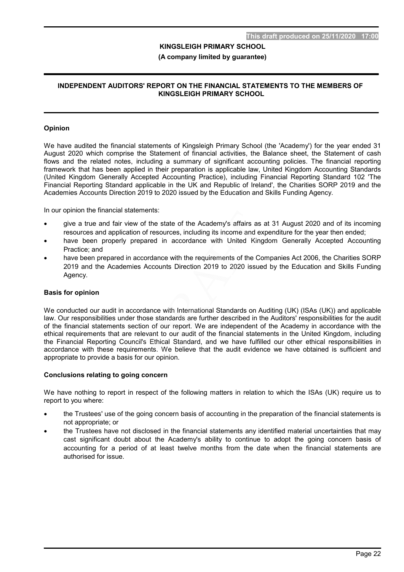#### (A company limited by guarantee)

#### INDEPENDENT AUDITORS' REPORT ON THE FINANCIAL STATEMENTS TO THE MEMBERS OF KINGSLEIGH PRIMARY SCHOOL

#### Opinion

We have audited the financial statements of Kingsleigh Primary School (the 'Academy') for the year ended 31 August 2020 which comprise the Statement of financial activities, the Balance sheet, the Statement of cash flows and the related notes, including a summary of significant accounting policies. The financial reporting framework that has been applied in their preparation is applicable law, United Kingdom Accounting Standards (United Kingdom Generally Accepted Accounting Practice), including Financial Reporting Standard 102 'The Financial Reporting Standard applicable in the UK and Republic of Ireland', the Charities SORP 2019 and the Academies Accounts Direction 2019 to 2020 issued by the Education and Skills Funding Agency.

In our opinion the financial statements:

- give a true and fair view of the state of the Academy's affairs as at 31 August 2020 and of its incoming resources and application of resources, including its income and expenditure for the year then ended;
- have been properly prepared in accordance with United Kingdom Generally Accepted Accounting Practice; and
- have been prepared in accordance with the requirements of the Companies Act 2006, the Charities SORP 2019 and the Academies Accounts Direction 2019 to 2020 issued by the Education and Skills Funding Agency.

#### Basis for opinion

We conducted our audit in accordance with International Standards on Auditing (UK) (ISAs (UK)) and applicable law. Our responsibilities under those standards are further described in the Auditors' responsibilities for the audit of the financial statements section of our report. We are independent of the Academy in accordance with the ethical requirements that are relevant to our audit of the financial statements in the United Kingdom, including the Financial Reporting Council's Ethical Standard, and we have fulfilled our other ethical responsibilities in accordance with these requirements. We believe that the audit evidence we have obtained is sufficient and appropriate to provide a basis for our opinion.

#### Conclusions relating to going concern

We have nothing to report in respect of the following matters in relation to which the ISAs (UK) require us to report to you where:

- the Trustees' use of the going concern basis of accounting in the preparation of the financial statements is not appropriate; or
- the Trustees have not disclosed in the financial statements any identified material uncertainties that may cast significant doubt about the Academy's ability to continue to adopt the going concern basis of accounting for a period of at least twelve months from the date when the financial statements are authorised for issue.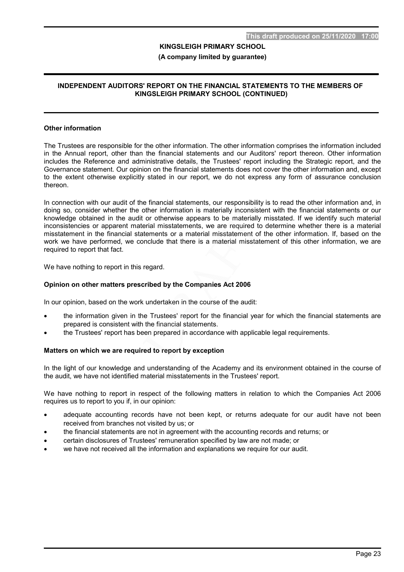#### (A company limited by guarantee)

#### INDEPENDENT AUDITORS' REPORT ON THE FINANCIAL STATEMENTS TO THE MEMBERS OF KINGSLEIGH PRIMARY SCHOOL (CONTINUED)

#### Other information

The Trustees are responsible for the other information. The other information comprises the information included in the Annual report, other than the financial statements and our Auditors' report thereon. Other information includes the Reference and administrative details, the Trustees' report including the Strategic report, and the Governance statement. Our opinion on the financial statements does not cover the other information and, except to the extent otherwise explicitly stated in our report, we do not express any form of assurance conclusion thereon.

In connection with our audit of the financial statements, our responsibility is to read the other information and, in doing so, consider whether the other information is materially inconsistent with the financial statements or our knowledge obtained in the audit or otherwise appears to be materially misstated. If we identify such material inconsistencies or apparent material misstatements, we are required to determine whether there is a material misstatement in the financial statements or a material misstatement of the other information. If, based on the work we have performed, we conclude that there is a material misstatement of this other information, we are required to report that fact.

We have nothing to report in this regard.

#### Opinion on other matters prescribed by the Companies Act 2006

In our opinion, based on the work undertaken in the course of the audit:

- the information given in the Trustees' report for the financial year for which the financial statements are prepared is consistent with the financial statements.
- the Trustees' report has been prepared in accordance with applicable legal requirements.

#### Matters on which we are required to report by exception

In the light of our knowledge and understanding of the Academy and its environment obtained in the course of the audit, we have not identified material misstatements in the Trustees' report.

We have nothing to report in respect of the following matters in relation to which the Companies Act 2006 requires us to report to you if, in our opinion:

- adequate accounting records have not been kept, or returns adequate for our audit have not been received from branches not visited by us; or
- the financial statements are not in agreement with the accounting records and returns; or
- certain disclosures of Trustees' remuneration specified by law are not made; or
- we have not received all the information and explanations we require for our audit.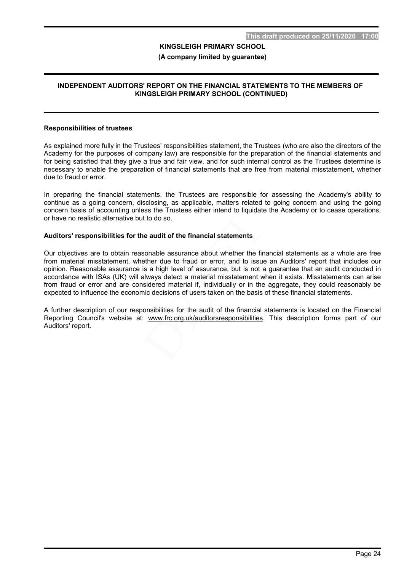#### (A company limited by guarantee)

#### INDEPENDENT AUDITORS' REPORT ON THE FINANCIAL STATEMENTS TO THE MEMBERS OF KINGSLEIGH PRIMARY SCHOOL (CONTINUED)

#### Responsibilities of trustees

As explained more fully in the Trustees' responsibilities statement, the Trustees (who are also the directors of the Academy for the purposes of company law) are responsible for the preparation of the financial statements and for being satisfied that they give a true and fair view, and for such internal control as the Trustees determine is necessary to enable the preparation of financial statements that are free from material misstatement, whether due to fraud or error.

In preparing the financial statements, the Trustees are responsible for assessing the Academy's ability to continue as a going concern, disclosing, as applicable, matters related to going concern and using the going concern basis of accounting unless the Trustees either intend to liquidate the Academy or to cease operations, or have no realistic alternative but to do so.

#### Auditors' responsibilities for the audit of the financial statements

Our objectives are to obtain reasonable assurance about whether the financial statements as a whole are free from material misstatement, whether due to fraud or error, and to issue an Auditors' report that includes our opinion. Reasonable assurance is a high level of assurance, but is not a guarantee that an audit conducted in accordance with ISAs (UK) will always detect a material misstatement when it exists. Misstatements can arise from fraud or error and are considered material if, individually or in the aggregate, they could reasonably be expected to influence the economic decisions of users taken on the basis of these financial statements.

A further description of our responsibilities for the audit of the financial statements is located on the Financial Reporting Council's website at: www.frc.org.uk/auditorsresponsibilities. This description forms part of our Auditors' report.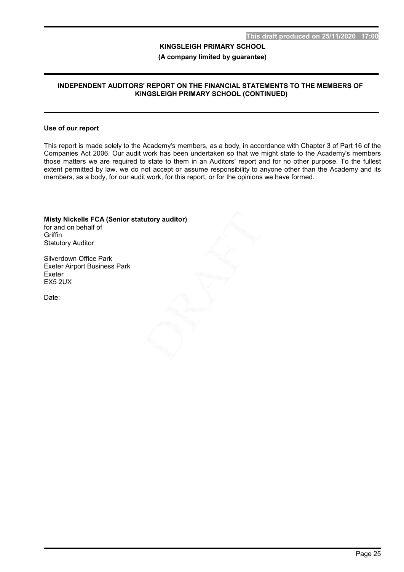#### (A company limited by guarantee)

#### INDEPENDENT AUDITORS' REPORT ON THE FINANCIAL STATEMENTS TO THE MEMBERS OF KINGSLEIGH PRIMARY SCHOOL (CONTINUED)

#### Use of our report

This report is made solely to the Academy's members, as a body, in accordance with Chapter 3 of Part 16 of the Companies Act 2006. Our audit work has been undertaken so that we might state to the Academy's members those matters we are required to state to them in an Auditors' report and for no other purpose. To the fullest extent permitted by law, we do not accept or assume responsibility to anyone other than the Academy and its members, as a body, for our audit work, for this report, or for the opinions we have formed.

Misty Nickells FCA (Senior statutory auditor) for and on behalf of **Griffin** Statutory Auditor

Silverdown Office Park Exeter Airport Business Park Exeter EX5 2UX

Date: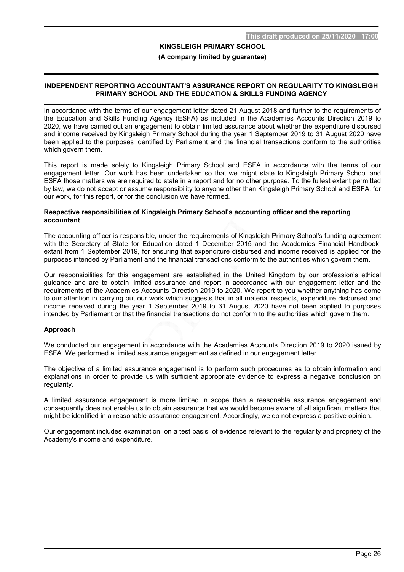#### (A company limited by guarantee)

#### INDEPENDENT REPORTING ACCOUNTANT'S ASSURANCE REPORT ON REGULARITY TO KINGSLEIGH PRIMARY SCHOOL AND THE EDUCATION & SKILLS FUNDING AGENCY

In accordance with the terms of our engagement letter dated 21 August 2018 and further to the requirements of the Education and Skills Funding Agency (ESFA) as included in the Academies Accounts Direction 2019 to 2020, we have carried out an engagement to obtain limited assurance about whether the expenditure disbursed and income received by Kingsleigh Primary School during the year 1 September 2019 to 31 August 2020 have been applied to the purposes identified by Parliament and the financial transactions conform to the authorities which govern them.

This report is made solely to Kingsleigh Primary School and ESFA in accordance with the terms of our engagement letter. Our work has been undertaken so that we might state to Kingsleigh Primary School and ESFA those matters we are required to state in a report and for no other purpose. To the fullest extent permitted by law, we do not accept or assume responsibility to anyone other than Kingsleigh Primary School and ESFA, for our work, for this report, or for the conclusion we have formed.

#### Respective responsibilities of Kingsleigh Primary School's accounting officer and the reporting accountant

The accounting officer is responsible, under the requirements of Kingsleigh Primary School's funding agreement with the Secretary of State for Education dated 1 December 2015 and the Academies Financial Handbook, extant from 1 September 2019, for ensuring that expenditure disbursed and income received is applied for the purposes intended by Parliament and the financial transactions conform to the authorities which govern them.

Our responsibilities for this engagement are established in the United Kingdom by our profession's ethical guidance and are to obtain limited assurance and report in accordance with our engagement letter and the requirements of the Academies Accounts Direction 2019 to 2020. We report to you whether anything has come to our attention in carrying out our work which suggests that in all material respects, expenditure disbursed and income received during the year 1 September 2019 to 31 August 2020 have not been applied to purposes intended by Parliament or that the financial transactions do not conform to the authorities which govern them.

#### Approach

We conducted our engagement in accordance with the Academies Accounts Direction 2019 to 2020 issued by ESFA. We performed a limited assurance engagement as defined in our engagement letter.

The objective of a limited assurance engagement is to perform such procedures as to obtain information and explanations in order to provide us with sufficient appropriate evidence to express a negative conclusion on regularity.

A limited assurance engagement is more limited in scope than a reasonable assurance engagement and consequently does not enable us to obtain assurance that we would become aware of all significant matters that might be identified in a reasonable assurance engagement. Accordingly, we do not express a positive opinion.

Our engagement includes examination, on a test basis, of evidence relevant to the regularity and propriety of the Academy's income and expenditure.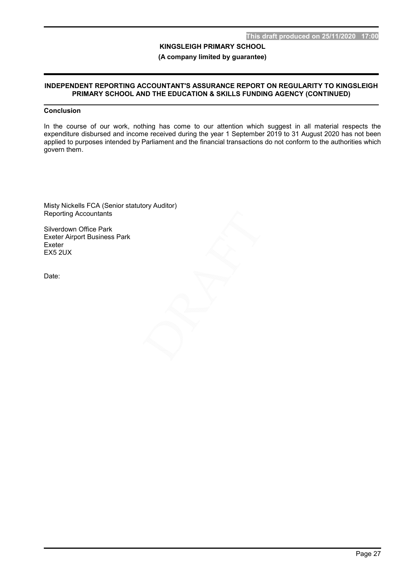(A company limited by guarantee)

#### INDEPENDENT REPORTING ACCOUNTANT'S ASSURANCE REPORT ON REGULARITY TO KINGSLEIGH PRIMARY SCHOOL AND THE EDUCATION & SKILLS FUNDING AGENCY (CONTINUED)

# Conclusion

In the course of our work, nothing has come to our attention which suggest in all material respects the expenditure disbursed and income received during the year 1 September 2019 to 31 August 2020 has not been applied to purposes intended by Parliament and the financial transactions do not conform to the authorities which govern them.

Misty Nickells FCA (Senior statutory Auditor) Reporting Accountants

Silverdown Office Park Exeter Airport Business Park Exeter EX5 2UX

Date: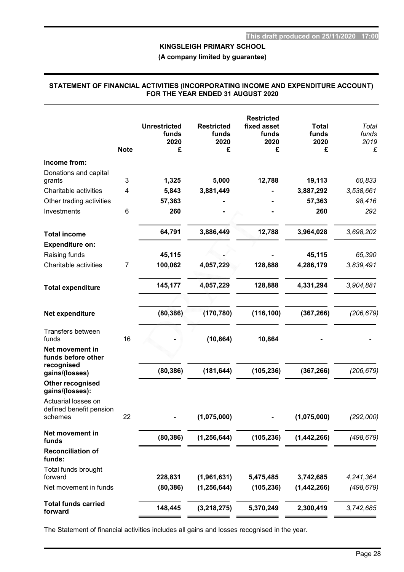(A company limited by guarantee)

#### STATEMENT OF FINANCIAL ACTIVITIES (INCORPORATING INCOME AND EXPENDITURE ACCOUNT) FOR THE YEAR ENDED 31 AUGUST 2020

| <b>Note</b>                              | <b>Unrestricted</b><br>funds<br>2020<br>£ | <b>Restricted</b><br>funds<br>2020<br>£ | <b>Restricted</b><br>fixed asset<br>funds<br>2020<br>£ | <b>Total</b><br>funds<br>2020<br>£ | Total<br>funds<br>2019<br>£ |
|------------------------------------------|-------------------------------------------|-----------------------------------------|--------------------------------------------------------|------------------------------------|-----------------------------|
| Income from:                             |                                           |                                         |                                                        |                                    |                             |
| Donations and capital                    |                                           |                                         |                                                        |                                    |                             |
| 3<br>grants                              | 1,325                                     | 5,000                                   | 12,788                                                 | 19,113                             | 60,833                      |
| Charitable activities<br>4               | 5,843                                     | 3,881,449                               |                                                        | 3,887,292                          | 3,538,661                   |
| Other trading activities                 | 57,363                                    |                                         |                                                        | 57,363                             | 98,416                      |
| Investments<br>6                         | 260                                       |                                         |                                                        | 260                                | 292                         |
| <b>Total income</b>                      | 64,791                                    | 3,886,449                               | 12,788                                                 | 3,964,028                          | 3,698,202                   |
| <b>Expenditure on:</b>                   |                                           |                                         |                                                        |                                    |                             |
| Raising funds                            | 45,115                                    |                                         |                                                        | 45,115                             | 65,390                      |
| Charitable activities<br>$\overline{7}$  | 100,062                                   | 4,057,229                               | 128,888                                                | 4,286,179                          | 3,839,491                   |
| <b>Total expenditure</b>                 | 145,177                                   | 4,057,229                               | 128,888                                                | 4,331,294                          | 3,904,881                   |
|                                          |                                           |                                         |                                                        |                                    |                             |
| Net expenditure                          | (80, 386)                                 | (170, 780)                              | (116, 100)                                             | (367, 266)                         | (206, 679)                  |
| Transfers between<br>16<br>funds         |                                           | (10, 864)                               | 10,864                                                 |                                    |                             |
| Net movement in<br>funds before other    |                                           |                                         |                                                        |                                    |                             |
| recognised<br>gains/(losses)             | (80, 386)                                 | (181, 644)                              | (105, 236)                                             | (367, 266)                         | (206, 679)                  |
| Other recognised<br>gains/(losses):      |                                           |                                         |                                                        |                                    |                             |
| Actuarial losses on                      |                                           |                                         |                                                        |                                    |                             |
| defined benefit pension<br>22<br>schemes |                                           | (1,075,000)                             |                                                        | (1,075,000)                        | (292,000)                   |
| Net movement in<br>funds                 | (80, 386)                                 | (1, 256, 644)                           | (105, 236)                                             | (1, 442, 266)                      | (498, 679)                  |
| <b>Reconciliation of</b><br>funds:       |                                           |                                         |                                                        |                                    |                             |
| Total funds brought<br>forward           | 228,831                                   | (1,961,631)                             | 5,475,485                                              | 3,742,685                          | 4,241,364                   |
| Net movement in funds                    | (80, 386)                                 | (1, 256, 644)                           | (105, 236)                                             | (1,442,266)                        | (498, 679)                  |
| <b>Total funds carried</b><br>forward    | 148,445                                   | (3, 218, 275)                           | 5,370,249                                              | 2,300,419                          | 3,742,685                   |

The Statement of financial activities includes all gains and losses recognised in the year.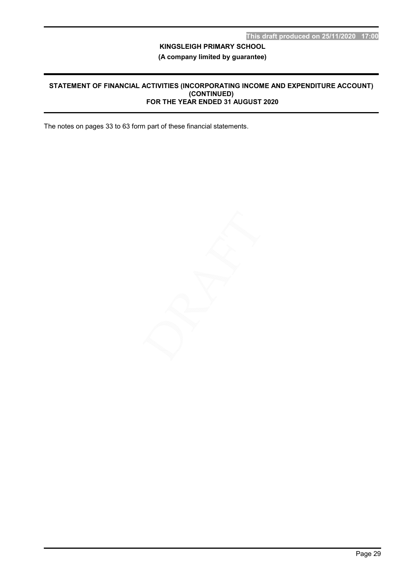# (A company limited by guarantee)

#### STATEMENT OF FINANCIAL ACTIVITIES (INCORPORATING INCOME AND EXPENDITURE ACCOUNT) (CONTINUED) FOR THE YEAR ENDED 31 AUGUST 2020

The notes on pages 33 to 63 form part of these financial statements.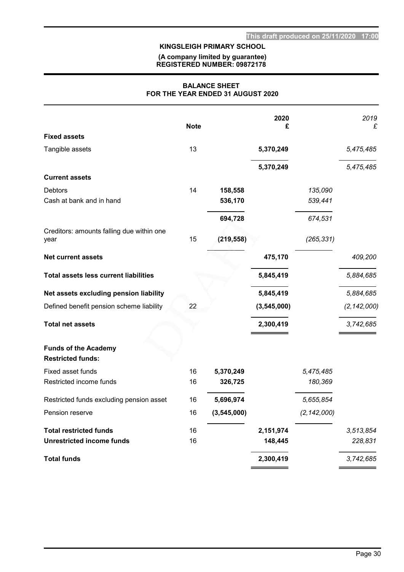#### (A company limited by guarantee) REGISTERED NUMBER: 09872178

#### BALANCE SHEET FOR THE YEAR ENDED 31 AUGUST 2020

|                                                         | <b>Note</b> |               | 2020<br>£     |               | 2019<br>£     |
|---------------------------------------------------------|-------------|---------------|---------------|---------------|---------------|
| <b>Fixed assets</b>                                     |             |               |               |               |               |
| Tangible assets                                         | 13          |               | 5,370,249     |               | 5,475,485     |
|                                                         |             |               | 5,370,249     |               | 5,475,485     |
| <b>Current assets</b>                                   |             |               |               |               |               |
| Debtors                                                 | 14          | 158,558       |               | 135,090       |               |
| Cash at bank and in hand                                |             | 536,170       |               | 539,441       |               |
|                                                         |             | 694,728       |               | 674,531       |               |
| Creditors: amounts falling due within one<br>year       | 15          | (219, 558)    |               | (265, 331)    |               |
| <b>Net current assets</b>                               |             |               | 475,170       |               | 409,200       |
| <b>Total assets less current liabilities</b>            |             |               | 5,845,419     |               | 5,884,685     |
| Net assets excluding pension liability                  |             |               | 5,845,419     |               | 5,884,685     |
| Defined benefit pension scheme liability                | 22          |               | (3, 545, 000) |               | (2, 142, 000) |
| <b>Total net assets</b>                                 |             |               | 2,300,419     |               | 3,742,685     |
| <b>Funds of the Academy</b><br><b>Restricted funds:</b> |             |               |               |               |               |
| Fixed asset funds                                       | 16          | 5,370,249     |               | 5,475,485     |               |
| Restricted income funds                                 | 16          | 326,725       |               | 180,369       |               |
| Restricted funds excluding pension asset                | 16          | 5,696,974     |               | 5,655,854     |               |
| Pension reserve                                         | 16          | (3, 545, 000) |               | (2, 142, 000) |               |
| <b>Total restricted funds</b>                           | 16          |               | 2,151,974     |               | 3,513,854     |
| <b>Unrestricted income funds</b>                        | 16          |               | 148,445       |               | 228,831       |
| <b>Total funds</b>                                      |             |               | 2,300,419     |               | 3,742,685     |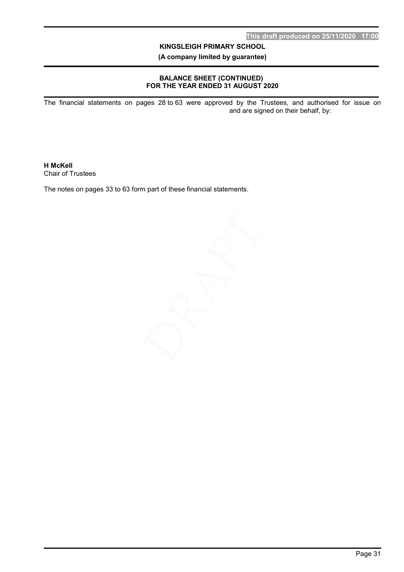(A company limited by guarantee)

### BALANCE SHEET (CONTINUED) FOR THE YEAR ENDED 31 AUGUST 2020

The financial statements on pages 28 to 63 were approved by the Trustees, and authorised for issue on and are signed on their behalf, by:

H McKell Chair of Trustees

The notes on pages 33 to 63 form part of these financial statements.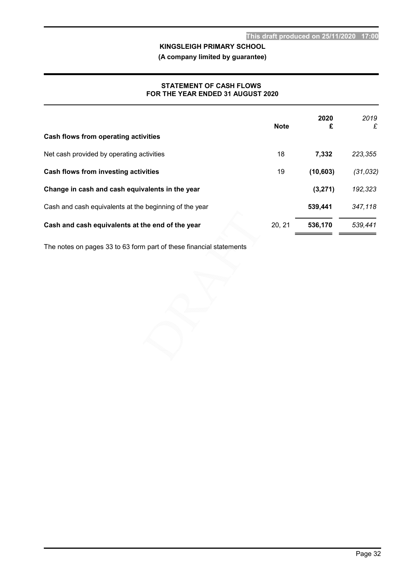(A company limited by guarantee)

#### STATEMENT OF CASH FLOWS FOR THE YEAR ENDED 31 AUGUST 2020

| Cash flows from operating activities                   | <b>Note</b> | 2020<br>£ | 2019<br>£ |
|--------------------------------------------------------|-------------|-----------|-----------|
| Net cash provided by operating activities              | 18          | 7,332     | 223,355   |
| Cash flows from investing activities                   | 19          | (10, 603) | (31, 032) |
| Change in cash and cash equivalents in the year        |             | (3,271)   | 192,323   |
| Cash and cash equivalents at the beginning of the year |             | 539,441   | 347,118   |
| Cash and cash equivalents at the end of the year       | 20, 21      | 536,170   | 539.441   |

The notes on pages 33 to 63 form part of these financial statements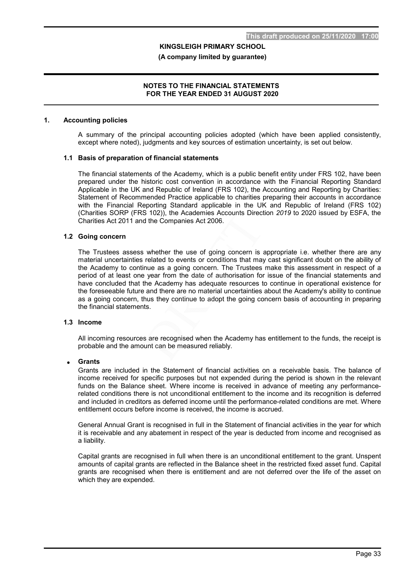#### (A company limited by guarantee)

#### NOTES TO THE FINANCIAL STATEMENTS FOR THE YEAR ENDED 31 AUGUST 2020

#### 1. Accounting policies

A summary of the principal accounting policies adopted (which have been applied consistently, except where noted), judgments and key sources of estimation uncertainty, is set out below.

#### 1.1 Basis of preparation of financial statements

The financial statements of the Academy, which is a public benefit entity under FRS 102, have been prepared under the historic cost convention in accordance with the Financial Reporting Standard Applicable in the UK and Republic of Ireland (FRS 102), the Accounting and Reporting by Charities: Statement of Recommended Practice applicable to charities preparing their accounts in accordance with the Financial Reporting Standard applicable in the UK and Republic of Ireland (FRS 102) (Charities SORP (FRS 102)), the Academies Accounts Direction 2019 to 2020 issued by ESFA, the Charities Act 2011 and the Companies Act 2006.

#### 1.2 Going concern

The Trustees assess whether the use of going concern is appropriate i.e. whether there are any material uncertainties related to events or conditions that may cast significant doubt on the ability of the Academy to continue as a going concern. The Trustees make this assessment in respect of a period of at least one year from the date of authorisation for issue of the financial statements and have concluded that the Academy has adequate resources to continue in operational existence for the foreseeable future and there are no material uncertainties about the Academy's ability to continue as a going concern, thus they continue to adopt the going concern basis of accounting in preparing the financial statements.

#### 1.3 Income

All incoming resources are recognised when the Academy has entitlement to the funds, the receipt is probable and the amount can be measured reliably.

#### Grants

Grants are included in the Statement of financial activities on a receivable basis. The balance of income received for specific purposes but not expended during the period is shown in the relevant funds on the Balance sheet. Where income is received in advance of meeting any performancerelated conditions there is not unconditional entitlement to the income and its recognition is deferred and included in creditors as deferred income until the performance-related conditions are met. Where entitlement occurs before income is received, the income is accrued.

General Annual Grant is recognised in full in the Statement of financial activities in the year for which it is receivable and any abatement in respect of the year is deducted from income and recognised as a liability.

Capital grants are recognised in full when there is an unconditional entitlement to the grant. Unspent amounts of capital grants are reflected in the Balance sheet in the restricted fixed asset fund. Capital grants are recognised when there is entitlement and are not deferred over the life of the asset on which they are expended.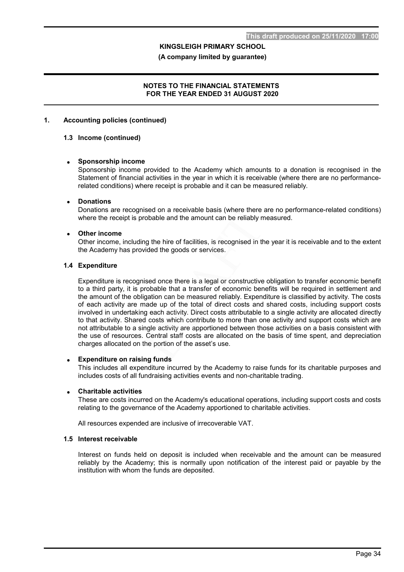(A company limited by guarantee)

#### NOTES TO THE FINANCIAL STATEMENTS FOR THE YEAR ENDED 31 AUGUST 2020

#### 1. Accounting policies (continued)

#### 1.3 Income (continued)

#### Sponsorship income

Sponsorship income provided to the Academy which amounts to a donation is recognised in the Statement of financial activities in the year in which it is receivable (where there are no performancerelated conditions) where receipt is probable and it can be measured reliably.

#### Donations

Donations are recognised on a receivable basis (where there are no performance-related conditions) where the receipt is probable and the amount can be reliably measured.

#### Other income

Other income, including the hire of facilities, is recognised in the year it is receivable and to the extent the Academy has provided the goods or services.

#### 1.4 Expenditure

Expenditure is recognised once there is a legal or constructive obligation to transfer economic benefit to a third party, it is probable that a transfer of economic benefits will be required in settlement and the amount of the obligation can be measured reliably. Expenditure is classified by activity. The costs of each activity are made up of the total of direct costs and shared costs, including support costs involved in undertaking each activity. Direct costs attributable to a single activity are allocated directly to that activity. Shared costs which contribute to more than one activity and support costs which are not attributable to a single activity are apportioned between those activities on a basis consistent with the use of resources. Central staff costs are allocated on the basis of time spent, and depreciation charges allocated on the portion of the asset's use.

#### Expenditure on raising funds

This includes all expenditure incurred by the Academy to raise funds for its charitable purposes and includes costs of all fundraising activities events and non-charitable trading.

#### Charitable activities

These are costs incurred on the Academy's educational operations, including support costs and costs relating to the governance of the Academy apportioned to charitable activities.

All resources expended are inclusive of irrecoverable VAT.

#### 1.5 Interest receivable

Interest on funds held on deposit is included when receivable and the amount can be measured reliably by the Academy; this is normally upon notification of the interest paid or payable by the institution with whom the funds are deposited.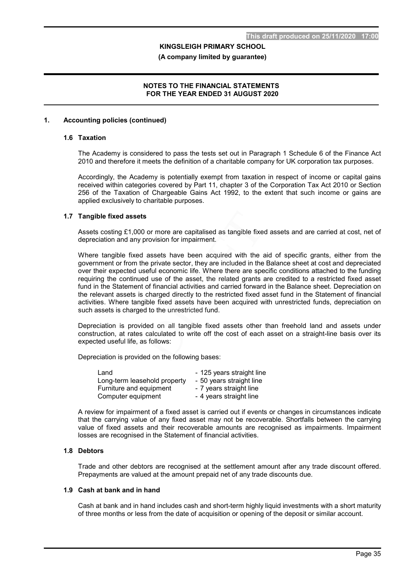#### (A company limited by guarantee)

#### NOTES TO THE FINANCIAL STATEMENTS FOR THE YEAR ENDED 31 AUGUST 2020

#### 1. Accounting policies (continued)

#### 1.6 Taxation

The Academy is considered to pass the tests set out in Paragraph 1 Schedule 6 of the Finance Act 2010 and therefore it meets the definition of a charitable company for UK corporation tax purposes.

Accordingly, the Academy is potentially exempt from taxation in respect of income or capital gains received within categories covered by Part 11, chapter 3 of the Corporation Tax Act 2010 or Section 256 of the Taxation of Chargeable Gains Act 1992, to the extent that such income or gains are applied exclusively to charitable purposes.

#### 1.7 Tangible fixed assets

Assets costing £1,000 or more are capitalised as tangible fixed assets and are carried at cost, net of depreciation and any provision for impairment.

Where tangible fixed assets have been acquired with the aid of specific grants, either from the government or from the private sector, they are included in the Balance sheet at cost and depreciated over their expected useful economic life. Where there are specific conditions attached to the funding requiring the continued use of the asset, the related grants are credited to a restricted fixed asset fund in the Statement of financial activities and carried forward in the Balance sheet. Depreciation on the relevant assets is charged directly to the restricted fixed asset fund in the Statement of financial activities. Where tangible fixed assets have been acquired with unrestricted funds, depreciation on such assets is charged to the unrestricted fund.

Depreciation is provided on all tangible fixed assets other than freehold land and assets under construction, at rates calculated to write off the cost of each asset on a straight-line basis over its expected useful life, as follows:

Depreciation is provided on the following bases:

| Land                         | - 125 years straight line |
|------------------------------|---------------------------|
| Long-term leasehold property | - 50 years straight line  |
| Furniture and equipment      | - 7 years straight line   |
| Computer equipment           | - 4 years straight line   |

A review for impairment of a fixed asset is carried out if events or changes in circumstances indicate that the carrying value of any fixed asset may not be recoverable. Shortfalls between the carrying value of fixed assets and their recoverable amounts are recognised as impairments. Impairment losses are recognised in the Statement of financial activities.

#### 1.8 Debtors

Trade and other debtors are recognised at the settlement amount after any trade discount offered. Prepayments are valued at the amount prepaid net of any trade discounts due.

#### 1.9 Cash at bank and in hand

Cash at bank and in hand includes cash and short-term highly liquid investments with a short maturity of three months or less from the date of acquisition or opening of the deposit or similar account.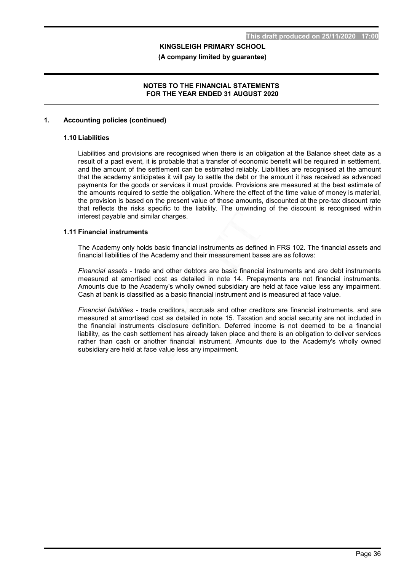#### (A company limited by guarantee)

#### NOTES TO THE FINANCIAL STATEMENTS FOR THE YEAR ENDED 31 AUGUST 2020

#### 1. Accounting policies (continued)

#### 1.10 Liabilities

Liabilities and provisions are recognised when there is an obligation at the Balance sheet date as a result of a past event, it is probable that a transfer of economic benefit will be required in settlement, and the amount of the settlement can be estimated reliably. Liabilities are recognised at the amount that the academy anticipates it will pay to settle the debt or the amount it has received as advanced payments for the goods or services it must provide. Provisions are measured at the best estimate of the amounts required to settle the obligation. Where the effect of the time value of money is material, the provision is based on the present value of those amounts, discounted at the pre-tax discount rate that reflects the risks specific to the liability. The unwinding of the discount is recognised within interest payable and similar charges.

#### 1.11 Financial instruments

The Academy only holds basic financial instruments as defined in FRS 102. The financial assets and financial liabilities of the Academy and their measurement bases are as follows:

Financial assets - trade and other debtors are basic financial instruments and are debt instruments measured at amortised cost as detailed in note 14. Prepayments are not financial instruments. Amounts due to the Academy's wholly owned subsidiary are held at face value less any impairment. Cash at bank is classified as a basic financial instrument and is measured at face value.

Financial liabilities - trade creditors, accruals and other creditors are financial instruments, and are measured at amortised cost as detailed in note 15. Taxation and social security are not included in the financial instruments disclosure definition. Deferred income is not deemed to be a financial liability, as the cash settlement has already taken place and there is an obligation to deliver services rather than cash or another financial instrument. Amounts due to the Academy's wholly owned subsidiary are held at face value less any impairment.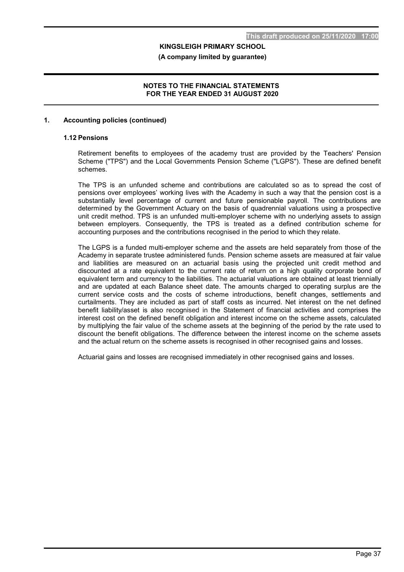(A company limited by guarantee)

#### NOTES TO THE FINANCIAL STATEMENTS FOR THE YEAR ENDED 31 AUGUST 2020

#### 1. Accounting policies (continued)

#### 1.12 Pensions

Retirement benefits to employees of the academy trust are provided by the Teachers' Pension Scheme ("TPS") and the Local Governments Pension Scheme ("LGPS"). These are defined benefit schemes.

The TPS is an unfunded scheme and contributions are calculated so as to spread the cost of pensions over employees' working lives with the Academy in such a way that the pension cost is a substantially level percentage of current and future pensionable payroll. The contributions are determined by the Government Actuary on the basis of quadrennial valuations using a prospective unit credit method. TPS is an unfunded multi-employer scheme with no underlying assets to assign between employers. Consequently, the TPS is treated as a defined contribution scheme for accounting purposes and the contributions recognised in the period to which they relate.

The LGPS is a funded multi-employer scheme and the assets are held separately from those of the Academy in separate trustee administered funds. Pension scheme assets are measured at fair value and liabilities are measured on an actuarial basis using the projected unit credit method and discounted at a rate equivalent to the current rate of return on a high quality corporate bond of equivalent term and currency to the liabilities. The actuarial valuations are obtained at least triennially and are updated at each Balance sheet date. The amounts charged to operating surplus are the current service costs and the costs of scheme introductions, benefit changes, settlements and curtailments. They are included as part of staff costs as incurred. Net interest on the net defined benefit liability/asset is also recognised in the Statement of financial activities and comprises the interest cost on the defined benefit obligation and interest income on the scheme assets, calculated by multiplying the fair value of the scheme assets at the beginning of the period by the rate used to discount the benefit obligations. The difference between the interest income on the scheme assets and the actual return on the scheme assets is recognised in other recognised gains and losses.

Actuarial gains and losses are recognised immediately in other recognised gains and losses.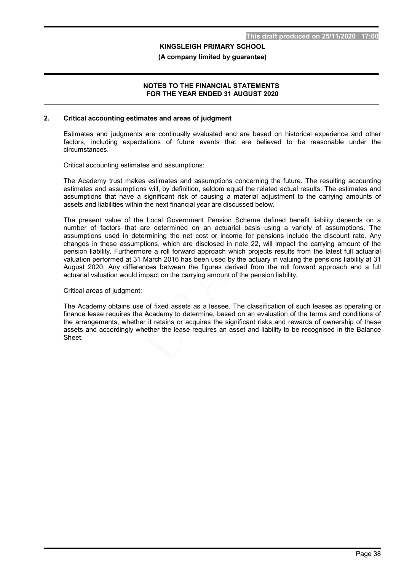(A company limited by guarantee)

#### NOTES TO THE FINANCIAL STATEMENTS FOR THE YEAR ENDED 31 AUGUST 2020

#### 2. Critical accounting estimates and areas of judgment

Estimates and judgments are continually evaluated and are based on historical experience and other factors, including expectations of future events that are believed to be reasonable under the circumstances.

Critical accounting estimates and assumptions:

The Academy trust makes estimates and assumptions concerning the future. The resulting accounting estimates and assumptions will, by definition, seldom equal the related actual results. The estimates and assumptions that have a significant risk of causing a material adjustment to the carrying amounts of assets and liabilities within the next financial year are discussed below.

The present value of the Local Government Pension Scheme defined benefit liability depends on a number of factors that are determined on an actuarial basis using a variety of assumptions. The assumptions used in determining the net cost or income for pensions include the discount rate. Any changes in these assumptions, which are disclosed in note 22, will impact the carrying amount of the pension liability. Furthermore a roll forward approach which projects results from the latest full actuarial valuation performed at 31 March 2016 has been used by the actuary in valuing the pensions liability at 31 August 2020. Any differences between the figures derived from the roll forward approach and a full actuarial valuation would impact on the carrying amount of the pension liability.

Critical areas of judgment:

The Academy obtains use of fixed assets as a lessee. The classification of such leases as operating or finance lease requires the Academy to determine, based on an evaluation of the terms and conditions of the arrangements, whether it retains or acquires the significant risks and rewards of ownership of these assets and accordingly whether the lease requires an asset and liability to be recognised in the Balance Sheet.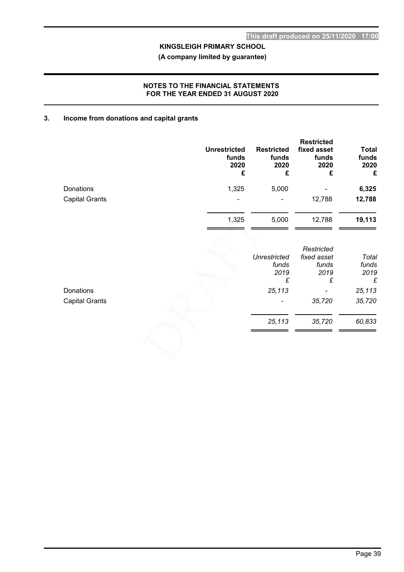(A company limited by guarantee)

### NOTES TO THE FINANCIAL STATEMENTS FOR THE YEAR ENDED 31 AUGUST 2020

#### 3. Income from donations and capital grants

|                       | <b>Unrestricted</b><br>funds<br>2020<br>£ | <b>Restricted</b><br>funds<br>2020<br>£ | <b>Restricted</b><br>fixed asset<br>funds<br>2020<br>£ | <b>Total</b><br>funds<br>2020<br>£ |
|-----------------------|-------------------------------------------|-----------------------------------------|--------------------------------------------------------|------------------------------------|
| Donations             | 1,325                                     | 5,000                                   |                                                        | 6,325                              |
| <b>Capital Grants</b> |                                           |                                         | 12,788                                                 | 12,788                             |
|                       | 1,325                                     | 5,000                                   | 12,788                                                 | 19,113                             |
|                       |                                           | <b>Unrestricted</b><br>funds<br>2019    | Restricted<br>fixed asset<br>funds<br>2019             | Total<br>funds<br>2019             |
|                       |                                           |                                         |                                                        |                                    |

| Donations             | 25,113                   | $\qquad \qquad$ | 25,113 |
|-----------------------|--------------------------|-----------------|--------|
| <b>Capital Grants</b> | $\overline{\phantom{0}}$ | 35,720          | 35,720 |
|                       | 25,113                   | 35,720          | 60,833 |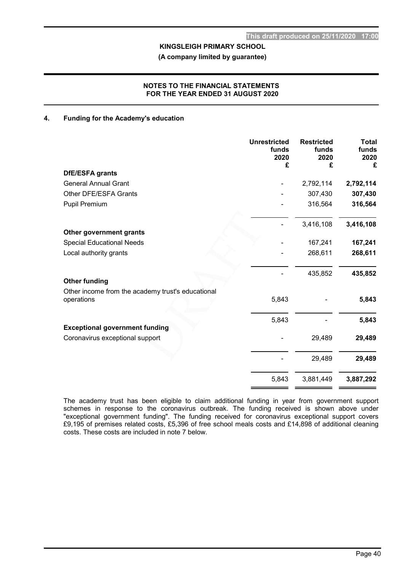(A company limited by guarantee)

#### NOTES TO THE FINANCIAL STATEMENTS FOR THE YEAR ENDED 31 AUGUST 2020

#### 4. Funding for the Academy's education

|                                                                 | <b>Unrestricted</b><br>funds<br>2020<br>£ | <b>Restricted</b><br>funds<br>2020<br>£ | <b>Total</b><br>funds<br>2020<br>£ |
|-----------------------------------------------------------------|-------------------------------------------|-----------------------------------------|------------------------------------|
| DfE/ESFA grants                                                 |                                           |                                         |                                    |
| <b>General Annual Grant</b>                                     |                                           | 2,792,114                               | 2,792,114                          |
| Other DFE/ESFA Grants                                           |                                           | 307,430                                 | 307,430                            |
| <b>Pupil Premium</b>                                            |                                           | 316,564                                 | 316,564                            |
|                                                                 |                                           | 3,416,108                               | 3,416,108                          |
| Other government grants                                         |                                           |                                         |                                    |
| <b>Special Educational Needs</b>                                |                                           | 167,241                                 | 167,241                            |
| Local authority grants                                          |                                           | 268,611                                 | 268,611                            |
| <b>Other funding</b>                                            |                                           | 435,852                                 | 435,852                            |
|                                                                 |                                           |                                         |                                    |
| Other income from the academy trust's educational<br>operations | 5,843                                     |                                         | 5,843                              |
|                                                                 | 5,843                                     |                                         | 5,843                              |
| <b>Exceptional government funding</b>                           |                                           |                                         |                                    |
| Coronavirus exceptional support                                 |                                           | 29,489                                  | 29,489                             |
|                                                                 |                                           | 29,489                                  | 29,489                             |
|                                                                 | 5,843                                     | 3,881,449                               | 3,887,292                          |

The academy trust has been eligible to claim additional funding in year from government support schemes in response to the coronavirus outbreak. The funding received is shown above under "exceptional government funding". The funding received for coronavirus exceptional support covers £9,195 of premises related costs, £5,396 of free school meals costs and £14,898 of additional cleaning costs. These costs are included in note 7 below.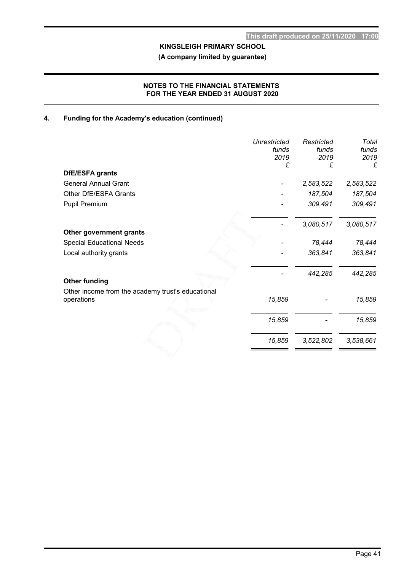(A company limited by guarantee)

### NOTES TO THE FINANCIAL STATEMENTS FOR THE YEAR ENDED 31 AUGUST 2020

# 4. Funding for the Academy's education (continued)

|                                                   | <b>Unrestricted</b><br>funds<br>2019 | Restricted<br>funds<br>2019 | Total<br>funds<br>2019 |
|---------------------------------------------------|--------------------------------------|-----------------------------|------------------------|
|                                                   | £                                    | £                           | £                      |
| <b>DfE/ESFA grants</b>                            |                                      |                             |                        |
| <b>General Annual Grant</b>                       |                                      | 2,583,522                   | 2,583,522              |
| Other DfE/ESFA Grants                             |                                      | 187,504                     | 187,504                |
| Pupil Premium                                     |                                      | 309,491                     | 309,491                |
|                                                   |                                      | 3,080,517                   | 3,080,517              |
| Other government grants                           |                                      |                             |                        |
| <b>Special Educational Needs</b>                  |                                      | 78,444                      | 78,444                 |
| Local authority grants                            |                                      | 363,841                     | 363,841                |
|                                                   |                                      | 442,285                     | 442,285                |
| <b>Other funding</b>                              |                                      |                             |                        |
| Other income from the academy trust's educational |                                      |                             |                        |
| operations                                        | 15,859                               |                             | 15,859                 |
|                                                   | 15,859                               |                             | 15,859                 |
|                                                   | 15,859                               | 3,522,802                   | 3,538,661              |
|                                                   |                                      |                             |                        |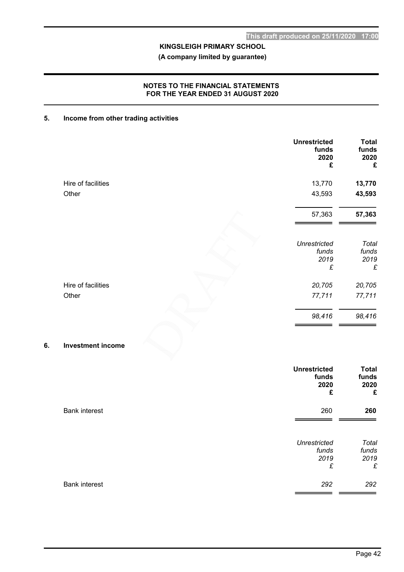(A company limited by guarantee)

### NOTES TO THE FINANCIAL STATEMENTS FOR THE YEAR ENDED 31 AUGUST 2020

### 5. Income from other trading activities

|                    | <b>Unrestricted</b><br>funds<br>2020<br>£ | <b>Total</b><br>funds<br>2020<br>£ |
|--------------------|-------------------------------------------|------------------------------------|
| Hire of facilities | 13,770                                    | 13,770                             |
| Other              | 43,593                                    | 43,593                             |
|                    | 57,363                                    | 57,363                             |
|                    | <b>Unrestricted</b><br>funds              | Total<br>funds                     |
|                    | 2019<br>£                                 | 2019<br>£                          |
| Hire of facilities | 20,705                                    | 20,705                             |
| Other              | 77,711                                    | 77,711                             |
|                    | 98,416                                    | 98,416                             |

# 6. Investment income

|                      | <b>Unrestricted</b><br>funds<br>2020<br>£ | <b>Total</b><br>funds<br>2020<br>£ |
|----------------------|-------------------------------------------|------------------------------------|
| <b>Bank interest</b> | 260                                       | 260                                |
|                      | <b>Unrestricted</b><br>funds<br>2019<br>£ | Total<br>funds<br>2019<br>£        |
| <b>Bank interest</b> | 292                                       | 292                                |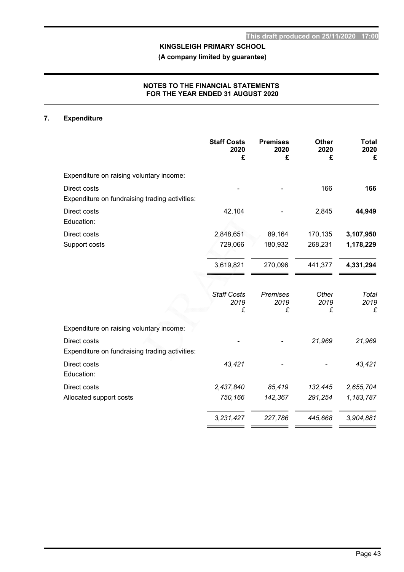(A company limited by guarantee)

### NOTES TO THE FINANCIAL STATEMENTS FOR THE YEAR ENDED 31 AUGUST 2020

# 7. Expenditure

|                                                                | <b>Staff Costs</b><br>2020<br>£ | <b>Premises</b><br>2020<br>£ | <b>Other</b><br>2020<br>£ | <b>Total</b><br>2020<br>£ |
|----------------------------------------------------------------|---------------------------------|------------------------------|---------------------------|---------------------------|
| Expenditure on raising voluntary income:                       |                                 |                              |                           |                           |
| Direct costs<br>Expenditure on fundraising trading activities: |                                 |                              | 166                       | 166                       |
| Direct costs<br>Education:                                     | 42,104                          |                              | 2,845                     | 44,949                    |
| Direct costs                                                   | 2,848,651                       | 89,164                       | 170,135                   | 3,107,950                 |
| Support costs                                                  | 729,066                         | 180,932                      | 268,231                   | 1,178,229                 |
|                                                                | 3,619,821                       | 270,096                      | 441,377                   | 4,331,294                 |
|                                                                |                                 |                              |                           |                           |
|                                                                | <b>Staff Costs</b><br>2019<br>£ | <b>Premises</b><br>2019<br>£ | Other<br>2019<br>£        | Total<br>2019<br>£        |
| Expenditure on raising voluntary income:                       |                                 |                              |                           |                           |
| Direct costs<br>Expenditure on fundraising trading activities: |                                 |                              | 21,969                    | 21,969                    |
| Direct costs<br>Education:                                     | 43,421                          |                              |                           | 43,421                    |
| Direct costs                                                   | 2,437,840                       | 85,419                       | 132,445                   | 2,655,704                 |
| Allocated support costs                                        | 750,166                         | 142,367                      | 291,254                   | 1,183,787                 |
|                                                                | 3,231,427                       | 227,786                      | 445,668                   | 3,904,881                 |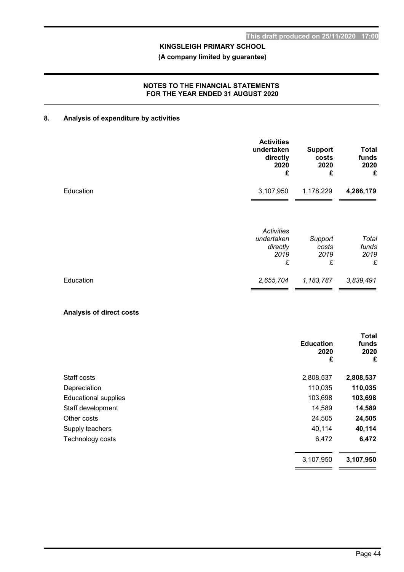# (A company limited by guarantee)

#### NOTES TO THE FINANCIAL STATEMENTS FOR THE YEAR ENDED 31 AUGUST 2020

# 8. Analysis of expenditure by activities

|           | <b>Activities</b><br>undertaken<br>directly<br>2020<br>£ | <b>Support</b><br>costs<br>2020<br>£ | <b>Total</b><br>funds<br>2020<br>£ |
|-----------|----------------------------------------------------------|--------------------------------------|------------------------------------|
| Education | 3,107,950                                                | 1,178,229                            | 4,286,179                          |
|           | <b>Activities</b><br>undertaken<br>directly<br>2019<br>£ | Support<br>costs<br>2019<br>£        | Total<br>funds<br>2019<br>£        |
| Education | 2,655,704                                                | 1,183,787                            | 3,839,491                          |

# Analysis of direct costs

|                             |                               | <b>Total</b>       |
|-----------------------------|-------------------------------|--------------------|
|                             | <b>Education</b><br>2020<br>£ | funds<br>2020<br>£ |
| Staff costs                 | 2,808,537                     | 2,808,537          |
| Depreciation                | 110,035                       | 110,035            |
| <b>Educational supplies</b> | 103,698                       | 103,698            |
| Staff development           | 14,589                        | 14,589             |
| Other costs                 | 24,505                        | 24,505             |
| Supply teachers             | 40,114                        | 40,114             |
| Technology costs            | 6,472                         | 6,472              |
|                             | 3,107,950                     | 3,107,950          |
|                             |                               |                    |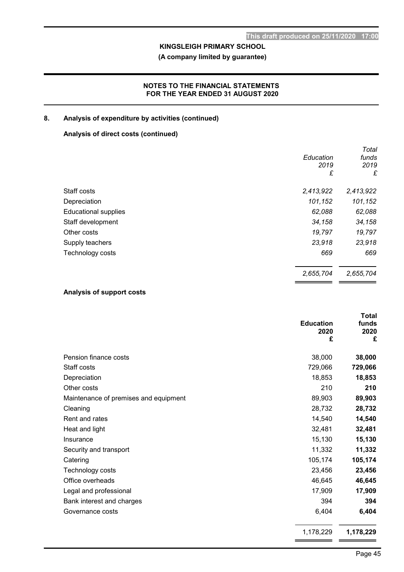(A company limited by guarantee)

### NOTES TO THE FINANCIAL STATEMENTS FOR THE YEAR ENDED 31 AUGUST 2020

# 8. Analysis of expenditure by activities (continued)

# Analysis of direct costs (continued)

|                             |           | Total     |
|-----------------------------|-----------|-----------|
|                             | Education | funds     |
|                             | 2019      | 2019      |
|                             | £         | £         |
| Staff costs                 | 2,413,922 | 2,413,922 |
| Depreciation                | 101,152   | 101,152   |
| <b>Educational supplies</b> | 62,088    | 62,088    |
| Staff development           | 34,158    | 34,158    |
| Other costs                 | 19,797    | 19,797    |
| Supply teachers             | 23,918    | 23,918    |
| Technology costs            | 669       | 669       |
|                             | 2,655,704 | 2,655,704 |
|                             |           |           |

### Analysis of support costs

|                                       | <b>Education</b><br>2020<br>£ | <b>Total</b><br>funds<br>2020<br>£ |
|---------------------------------------|-------------------------------|------------------------------------|
| Pension finance costs                 | 38,000                        | 38,000                             |
| Staff costs                           | 729,066                       | 729,066                            |
| Depreciation                          | 18,853                        | 18,853                             |
| Other costs                           | 210                           | 210                                |
| Maintenance of premises and equipment | 89,903                        | 89,903                             |
| Cleaning                              | 28,732                        | 28,732                             |
| Rent and rates                        | 14,540                        | 14,540                             |
| Heat and light                        | 32,481                        | 32,481                             |
| Insurance                             | 15,130                        | 15,130                             |
| Security and transport                | 11,332                        | 11,332                             |
| Catering                              | 105,174                       | 105,174                            |
| Technology costs                      | 23,456                        | 23,456                             |
| Office overheads                      | 46,645                        | 46,645                             |
| Legal and professional                | 17,909                        | 17,909                             |
| Bank interest and charges             | 394                           | 394                                |
| Governance costs                      | 6,404                         | 6,404                              |
|                                       | 1,178,229                     | 1,178,229                          |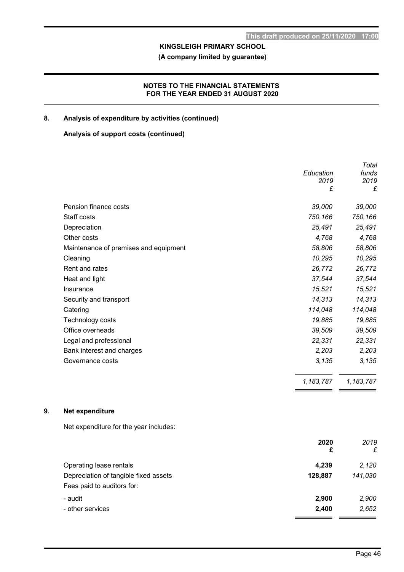(A company limited by guarantee)

### NOTES TO THE FINANCIAL STATEMENTS FOR THE YEAR ENDED 31 AUGUST 2020

# 8. Analysis of expenditure by activities (continued)

#### Analysis of support costs (continued)

|                                       |           | Total     |
|---------------------------------------|-----------|-----------|
|                                       | Education | funds     |
|                                       | 2019      | 2019      |
|                                       | £         | £         |
| Pension finance costs                 | 39,000    | 39,000    |
| Staff costs                           | 750,166   | 750,166   |
| Depreciation                          | 25,491    | 25,491    |
| Other costs                           | 4,768     | 4,768     |
| Maintenance of premises and equipment | 58,806    | 58,806    |
| Cleaning                              | 10,295    | 10,295    |
| Rent and rates                        | 26,772    | 26,772    |
| Heat and light                        | 37,544    | 37,544    |
| Insurance                             | 15,521    | 15,521    |
| Security and transport                | 14,313    | 14,313    |
| Catering                              | 114,048   | 114,048   |
| Technology costs                      | 19,885    | 19,885    |
| Office overheads                      | 39,509    | 39,509    |
| Legal and professional                | 22,331    | 22,331    |
| Bank interest and charges             | 2,203     | 2,203     |
| Governance costs                      | 3,135     | 3,135     |
|                                       | 1,183,787 | 1,183,787 |

# 9. Net expenditure

Net expenditure for the year includes:

| 2020    | 2019    |
|---------|---------|
| £       | £       |
| 4,239   | 2,120   |
| 128,887 | 141,030 |
|         |         |
| 2,900   | 2,900   |
| 2,400   | 2,652   |
|         |         |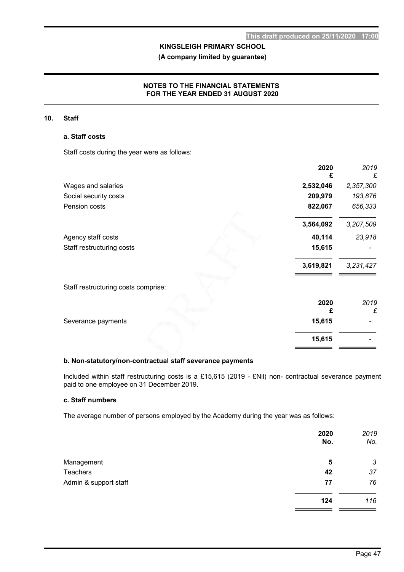(A company limited by guarantee)

#### NOTES TO THE FINANCIAL STATEMENTS FOR THE YEAR ENDED 31 AUGUST 2020

#### 10. Staff

#### a. Staff costs

Staff costs during the year were as follows:

|                                     | 2020      | 2019<br>£ |
|-------------------------------------|-----------|-----------|
| Wages and salaries                  | 2,532,046 | 2,357,300 |
| Social security costs               | 209,979   | 193,876   |
| Pension costs                       | 822,067   | 656,333   |
|                                     | 3,564,092 | 3,207,509 |
| Agency staff costs                  | 40,114    | 23,918    |
| Staff restructuring costs           | 15,615    |           |
|                                     | 3,619,821 | 3,231,427 |
| Staff restructuring costs comprise: |           |           |
|                                     | 2020      | 2019<br>£ |
| Severance payments                  | 15,615    |           |
|                                     | 15,615    |           |

### b. Non-statutory/non-contractual staff severance payments

Included within staff restructuring costs is a £15,615 (2019 - £Nil) non- contractual severance payment paid to one employee on 31 December 2019.

# c. Staff numbers

The average number of persons employed by the Academy during the year was as follows:

|                       | 2020<br>No. | 2019<br>No. |
|-----------------------|-------------|-------------|
| Management            | 5           | 3           |
| Teachers              | 42          | 37          |
| Admin & support staff | 77          | 76          |
|                       | 124         | 116         |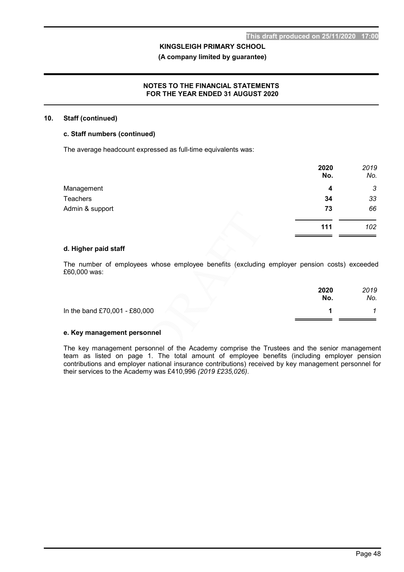#### (A company limited by guarantee)

#### NOTES TO THE FINANCIAL STATEMENTS FOR THE YEAR ENDED 31 AUGUST 2020

#### 10. Staff (continued)

#### c. Staff numbers (continued)

The average headcount expressed as full-time equivalents was:

|                 | 2020<br>No. | 2019<br>No. |
|-----------------|-------------|-------------|
| Management      | 4           | 3           |
| <b>Teachers</b> | 34          | 33          |
| Admin & support | 73          | 66          |
|                 | 111         | 102         |

#### d. Higher paid staff

The number of employees whose employee benefits (excluding employer pension costs) exceeded £60,000 was:

|                               | 2020<br>No. | 2019<br>No. |
|-------------------------------|-------------|-------------|
| In the band £70,001 - £80,000 |             |             |
|                               |             |             |

#### e. Key management personnel

The key management personnel of the Academy comprise the Trustees and the senior management team as listed on page 1. The total amount of employee benefits (including employer pension contributions and employer national insurance contributions) received by key management personnel for their services to the Academy was £410,996 (2019 £235,026).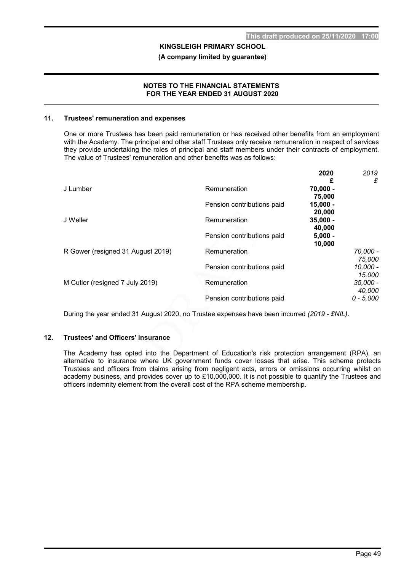(A company limited by guarantee)

#### NOTES TO THE FINANCIAL STATEMENTS FOR THE YEAR ENDED 31 AUGUST 2020

#### 11. Trustees' remuneration and expenses

One or more Trustees has been paid remuneration or has received other benefits from an employment with the Academy. The principal and other staff Trustees only receive remuneration in respect of services they provide undertaking the roles of principal and staff members under their contracts of employment. The value of Trustees' remuneration and other benefits was as follows:

|                                   |                            | 2020       | 2019        |
|-----------------------------------|----------------------------|------------|-------------|
|                                   |                            | £          | £           |
| J Lumber                          | Remuneration               | $70,000 -$ |             |
|                                   |                            | 75,000     |             |
|                                   | Pension contributions paid | $15,000 -$ |             |
|                                   |                            | 20,000     |             |
| J Weller                          | Remuneration               | $35,000 -$ |             |
|                                   |                            | 40,000     |             |
|                                   | Pension contributions paid | $5,000 -$  |             |
|                                   |                            | 10,000     |             |
| R Gower (resigned 31 August 2019) | Remuneration               |            | 70,000 -    |
|                                   |                            |            | 75,000      |
|                                   | Pension contributions paid |            | $10,000 -$  |
|                                   |                            |            | 15,000      |
| M Cutler (resigned 7 July 2019)   | Remuneration               |            | $35,000 -$  |
|                                   |                            |            | 40,000      |
|                                   | Pension contributions paid |            | $0 - 5,000$ |

During the year ended 31 August 2020, no Trustee expenses have been incurred (2019 - £NIL).

#### 12. Trustees' and Officers' insurance

The Academy has opted into the Department of Education's risk protection arrangement (RPA), an alternative to insurance where UK government funds cover losses that arise. This scheme protects Trustees and officers from claims arising from negligent acts, errors or omissions occurring whilst on academy business, and provides cover up to £10,000,000. It is not possible to quantify the Trustees and officers indemnity element from the overall cost of the RPA scheme membership.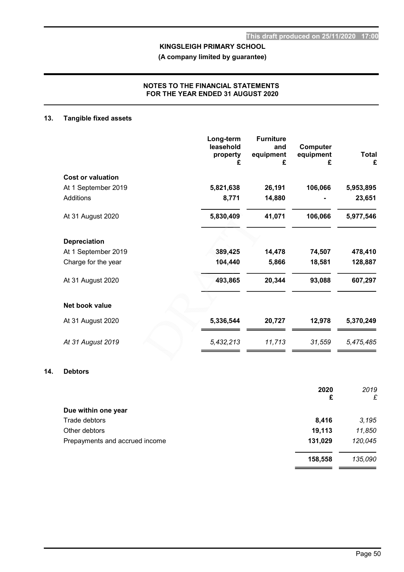(A company limited by guarantee)

#### NOTES TO THE FINANCIAL STATEMENTS FOR THE YEAR ENDED 31 AUGUST 2020

### 13. Tangible fixed assets

|                          | Long-term<br>leasehold<br>property<br>£ | <b>Furniture</b><br>and<br>equipment<br>£ | Computer<br>equipment<br>£ | <b>Total</b><br>£ |
|--------------------------|-----------------------------------------|-------------------------------------------|----------------------------|-------------------|
| <b>Cost or valuation</b> |                                         |                                           |                            |                   |
| At 1 September 2019      | 5,821,638                               | 26,191                                    | 106,066                    | 5,953,895         |
| Additions                | 8,771                                   | 14,880                                    |                            | 23,651            |
| At 31 August 2020        | 5,830,409                               | 41,071                                    | 106,066                    | 5,977,546         |
| <b>Depreciation</b>      |                                         |                                           |                            |                   |
| At 1 September 2019      | 389,425                                 | 14,478                                    | 74,507                     | 478,410           |
| Charge for the year      | 104,440                                 | 5,866                                     | 18,581                     | 128,887           |
| At 31 August 2020        | 493,865                                 | 20,344                                    | 93,088                     | 607,297           |
| Net book value           |                                         |                                           |                            |                   |
| At 31 August 2020        | 5,336,544                               | 20,727                                    | 12,978                     | 5,370,249         |
| At 31 August 2019        | 5,432,213                               | 11,713                                    | 31,559                     | 5,475,485         |

### 14. Debtors

|                                | 2020    | 2019    |
|--------------------------------|---------|---------|
|                                | £       | £       |
| Due within one year            |         |         |
| Trade debtors                  | 8,416   | 3,195   |
| Other debtors                  | 19,113  | 11,850  |
| Prepayments and accrued income | 131,029 | 120,045 |
|                                | 158,558 | 135,090 |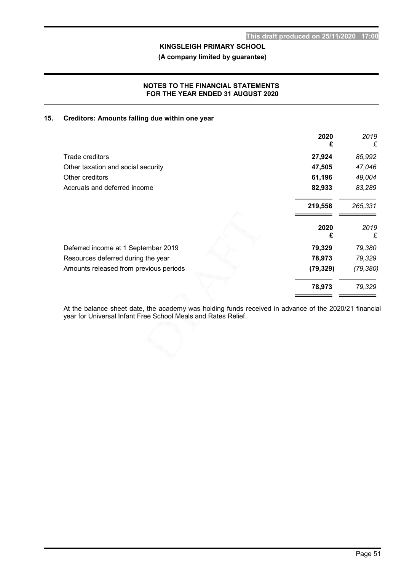(A company limited by guarantee)

### NOTES TO THE FINANCIAL STATEMENTS FOR THE YEAR ENDED 31 AUGUST 2020

#### 15. Creditors: Amounts falling due within one year

|                                        | 2020<br>£ | 2019<br>£ |
|----------------------------------------|-----------|-----------|
| Trade creditors                        | 27,924    | 85,992    |
| Other taxation and social security     | 47,505    | 47,046    |
| Other creditors                        | 61,196    | 49,004    |
| Accruals and deferred income           | 82,933    | 83,289    |
|                                        | 219,558   | 265,331   |
|                                        | 2020<br>£ | 2019<br>£ |
| Deferred income at 1 September 2019    | 79,329    | 79,380    |
| Resources deferred during the year     | 78,973    | 79,329    |
| Amounts released from previous periods | (79, 329) | (79, 380) |
|                                        | 78,973    | 79,329    |

At the balance sheet date, the academy was holding funds received in advance of the 2020/21 financial year for Universal Infant Free School Meals and Rates Relief.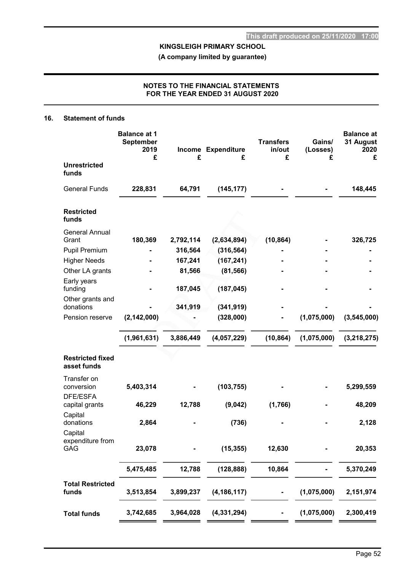(A company limited by guarantee)

### NOTES TO THE FINANCIAL STATEMENTS FOR THE YEAR ENDED 31 AUGUST 2020

#### 16. Statement of funds

|                                        | <b>Balance at 1</b><br><b>September</b><br>2019<br>£ | £         | Income Expenditure<br>£ | <b>Transfers</b><br>in/out<br>£ | Gains/<br>(Losses)<br>£ | <b>Balance at</b><br>31 August<br>2020<br>£ |
|----------------------------------------|------------------------------------------------------|-----------|-------------------------|---------------------------------|-------------------------|---------------------------------------------|
| <b>Unrestricted</b><br>funds           |                                                      |           |                         |                                 |                         |                                             |
| <b>General Funds</b>                   | 228,831                                              | 64,791    | (145, 177)              |                                 |                         | 148,445                                     |
| <b>Restricted</b><br>funds             |                                                      |           |                         |                                 |                         |                                             |
| <b>General Annual</b>                  |                                                      |           |                         |                                 |                         |                                             |
| Grant                                  | 180,369                                              | 2,792,114 | (2,634,894)             | (10, 864)                       |                         | 326,725                                     |
| <b>Pupil Premium</b>                   |                                                      | 316,564   | (316, 564)              |                                 |                         |                                             |
| <b>Higher Needs</b>                    |                                                      | 167,241   | (167, 241)              |                                 |                         |                                             |
| Other LA grants                        |                                                      | 81,566    | (81, 566)               |                                 |                         |                                             |
| Early years<br>funding                 |                                                      | 187,045   | (187, 045)              |                                 |                         |                                             |
| Other grants and<br>donations          |                                                      | 341,919   | (341, 919)              |                                 |                         |                                             |
| Pension reserve                        | (2, 142, 000)                                        |           | (328,000)               |                                 | (1,075,000)             | (3,545,000)                                 |
|                                        | (1,961,631)                                          | 3,886,449 | (4,057,229)             | (10, 864)                       | (1,075,000)             | (3, 218, 275)                               |
| <b>Restricted fixed</b><br>asset funds |                                                      |           |                         |                                 |                         |                                             |
| Transfer on<br>conversion              | 5,403,314                                            |           | (103, 755)              |                                 |                         | 5,299,559                                   |
| DFE/ESFA<br>capital grants             | 46,229                                               | 12,788    | (9,042)                 | (1,766)                         |                         | 48,209                                      |
| Capital<br>donations                   | 2,864                                                |           | (736)                   |                                 |                         | 2,128                                       |
| Capital<br>expenditure from<br>GAG     | 23,078                                               |           | (15, 355)               | 12,630                          |                         | 20,353                                      |
|                                        | 5,475,485                                            | 12,788    | (128, 888)              | 10,864                          |                         | 5,370,249                                   |
| <b>Total Restricted</b><br>funds       | 3,513,854                                            | 3,899,237 | (4, 186, 117)           | ٠                               | (1,075,000)             | 2,151,974                                   |
| <b>Total funds</b>                     | 3,742,685                                            | 3,964,028 | (4, 331, 294)           |                                 | (1,075,000)             | 2,300,419                                   |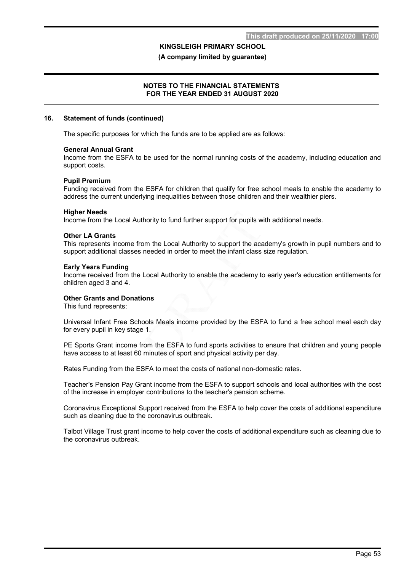(A company limited by guarantee)

#### NOTES TO THE FINANCIAL STATEMENTS FOR THE YEAR ENDED 31 AUGUST 2020

#### 16. Statement of funds (continued)

The specific purposes for which the funds are to be applied are as follows:

#### General Annual Grant

Income from the ESFA to be used for the normal running costs of the academy, including education and support costs.

#### Pupil Premium

Funding received from the ESFA for children that qualify for free school meals to enable the academy to address the current underlying inequalities between those children and their wealthier piers.

#### Higher Needs

Income from the Local Authority to fund further support for pupils with additional needs.

#### Other LA Grants

This represents income from the Local Authority to support the academy's growth in pupil numbers and to support additional classes needed in order to meet the infant class size regulation.

#### Early Years Funding

Income received from the Local Authority to enable the academy to early year's education entitlements for children aged 3 and 4.

#### Other Grants and Donations

This fund represents:

Universal Infant Free Schools Meals income provided by the ESFA to fund a free school meal each day for every pupil in key stage 1.

PE Sports Grant income from the ESFA to fund sports activities to ensure that children and young people have access to at least 60 minutes of sport and physical activity per day.

Rates Funding from the ESFA to meet the costs of national non-domestic rates.

Teacher's Pension Pay Grant income from the ESFA to support schools and local authorities with the cost of the increase in employer contributions to the teacher's pension scheme.

Coronavirus Exceptional Support received from the ESFA to help cover the costs of additional expenditure such as cleaning due to the coronavirus outbreak.

Talbot Village Trust grant income to help cover the costs of additional expenditure such as cleaning due to the coronavirus outbreak.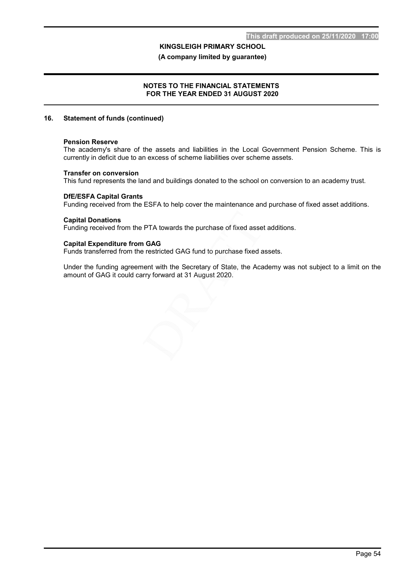(A company limited by guarantee)

#### NOTES TO THE FINANCIAL STATEMENTS FOR THE YEAR ENDED 31 AUGUST 2020

#### 16. Statement of funds (continued)

#### Pension Reserve

The academy's share of the assets and liabilities in the Local Government Pension Scheme. This is currently in deficit due to an excess of scheme liabilities over scheme assets.

#### Transfer on conversion

This fund represents the land and buildings donated to the school on conversion to an academy trust.

#### DfE/ESFA Capital Grants

Funding received from the ESFA to help cover the maintenance and purchase of fixed asset additions.

#### Capital Donations

Funding received from the PTA towards the purchase of fixed asset additions.

#### Capital Expenditure from GAG

Funds transferred from the restricted GAG fund to purchase fixed assets.

Under the funding agreement with the Secretary of State, the Academy was not subject to a limit on the amount of GAG it could carry forward at 31 August 2020.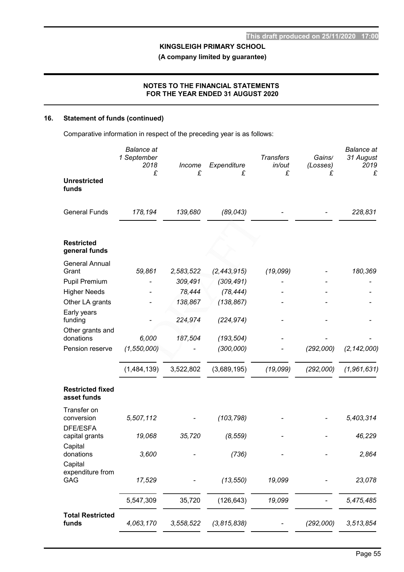(A company limited by guarantee)

### NOTES TO THE FINANCIAL STATEMENTS FOR THE YEAR ENDED 31 AUGUST 2020

# 16. Statement of funds (continued)

Comparative information in respect of the preceding year is as follows:

|                                        | <b>Balance</b> at<br>1 September<br>2018<br>£ | Income<br>£       | Expenditure<br>£        | <b>Transfers</b><br>in/out<br>£ | Gains/<br>(Losses)<br>£ | <b>Balance</b> at<br>31 August<br>2019<br>£ |
|----------------------------------------|-----------------------------------------------|-------------------|-------------------------|---------------------------------|-------------------------|---------------------------------------------|
| <b>Unrestricted</b><br>funds           |                                               |                   |                         |                                 |                         |                                             |
| <b>General Funds</b>                   | 178,194                                       | 139,680           | (89, 043)               |                                 |                         | 228,831                                     |
| <b>Restricted</b><br>general funds     |                                               |                   |                         |                                 |                         |                                             |
| <b>General Annual</b>                  |                                               |                   |                         |                                 |                         |                                             |
| Grant                                  | 59,861                                        | 2,583,522         | (2, 443, 915)           | (19,099)                        |                         | 180,369                                     |
| <b>Pupil Premium</b>                   |                                               | 309,491           | (309, 491)              |                                 |                         |                                             |
| <b>Higher Needs</b>                    |                                               | 78,444<br>138,867 | (78, 444)<br>(138, 867) |                                 |                         |                                             |
| Other LA grants<br>Early years         |                                               |                   |                         |                                 |                         |                                             |
| funding                                |                                               | 224,974           | (224, 974)              |                                 |                         |                                             |
| Other grants and                       |                                               |                   |                         |                                 |                         |                                             |
| donations                              | 6,000                                         | 187,504           | (193, 504)              |                                 |                         |                                             |
| Pension reserve                        | (1, 550, 000)                                 |                   | (300,000)               |                                 | (292,000)               | (2, 142, 000)                               |
|                                        | (1,484,139)                                   | 3,522,802         | (3,689,195)             | (19,099)                        | (292,000)               | (1,961,631)                                 |
| <b>Restricted fixed</b><br>asset funds |                                               |                   |                         |                                 |                         |                                             |
| Transfer on<br>conversion              | 5,507,112                                     |                   | (103, 798)              |                                 |                         | 5,403,314                                   |
| DFE/ESFA<br>capital grants             | 19,068                                        | 35,720            | (8, 559)                |                                 |                         | 46,229                                      |
| Capital<br>donations<br>Capital        | 3,600                                         |                   | (736)                   |                                 |                         | 2,864                                       |
| expenditure from<br>GAG                | 17,529                                        |                   | (13, 550)               | 19,099                          |                         | 23,078                                      |
|                                        | 5,547,309                                     | 35,720            | (126, 643)              | 19,099                          |                         | 5,475,485                                   |
| <b>Total Restricted</b><br>funds       | 4,063,170                                     | 3,558,522         | (3,815,838)             |                                 | (292,000)               | 3,513,854                                   |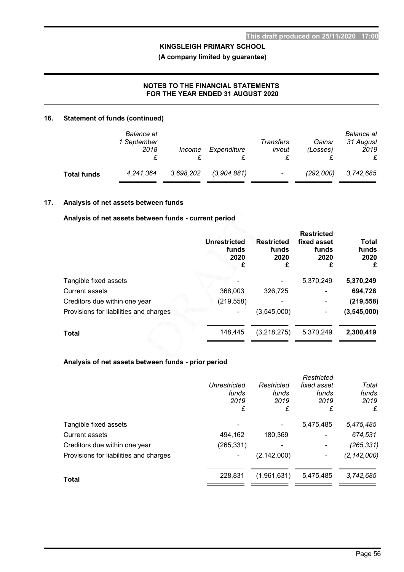(A company limited by guarantee)

# NOTES TO THE FINANCIAL STATEMENTS FOR THE YEAR ENDED 31 AUGUST 2020

### 16. Statement of funds (continued)

|                    | Balance at<br>1 September<br>2018 | <i>Income</i> | Expenditure | Transfers<br>in/out      | Gains/<br>(Losses) | <b>Balance</b> at<br>31 August<br>2019<br>£ |
|--------------------|-----------------------------------|---------------|-------------|--------------------------|--------------------|---------------------------------------------|
| <b>Total funds</b> | 4.241.364                         | 3,698,202     | (3,904,881) | $\overline{\phantom{0}}$ | (292.000)          | 3.742.685                                   |

#### 17. Analysis of net assets between funds

#### Analysis of net assets between funds - current period

|                                        |                                           |                                    | <b>Restricted</b>                 |                                    |  |
|----------------------------------------|-------------------------------------------|------------------------------------|-----------------------------------|------------------------------------|--|
|                                        | <b>Unrestricted</b><br>funds<br>2020<br>£ | <b>Restricted</b><br>funds<br>2020 | fixed asset<br>funds<br>2020<br>£ | <b>Total</b><br>funds<br>2020<br>£ |  |
| Tangible fixed assets                  |                                           |                                    | 5,370,249                         | 5,370,249                          |  |
| <b>Current assets</b>                  | 368,003                                   | 326,725                            | ۰                                 | 694,728                            |  |
| Creditors due within one year          | (219, 558)                                |                                    | ٠                                 | (219, 558)                         |  |
| Provisions for liabilities and charges |                                           | (3,545,000)                        |                                   | (3, 545, 000)                      |  |
| <b>Total</b>                           | 148,445                                   | (3,218,275)                        | 5,370,249                         | 2,300,419                          |  |
|                                        |                                           |                                    |                                   |                                    |  |

### Analysis of net assets between funds - prior period

|                                        |              |               | Restricted  |               |
|----------------------------------------|--------------|---------------|-------------|---------------|
|                                        | Unrestricted | Restricted    | fixed asset | Total         |
|                                        | funds        | funds         | funds       | funds         |
|                                        | 2019         | 2019          | 2019        | 2019          |
|                                        | £            | £             | £           | £             |
| Tangible fixed assets                  |              |               | 5,475,485   | 5,475,485     |
| <b>Current assets</b>                  | 494,162      | 180.369       |             | 674,531       |
| Creditors due within one year          | (265,331)    |               |             | (265, 331)    |
| Provisions for liabilities and charges | -            | (2, 142, 000) |             | (2, 142, 000) |
| <b>Total</b>                           | 228,831      | (1,961,631)   | 5,475,485   | 3,742,685     |
|                                        |              |               |             |               |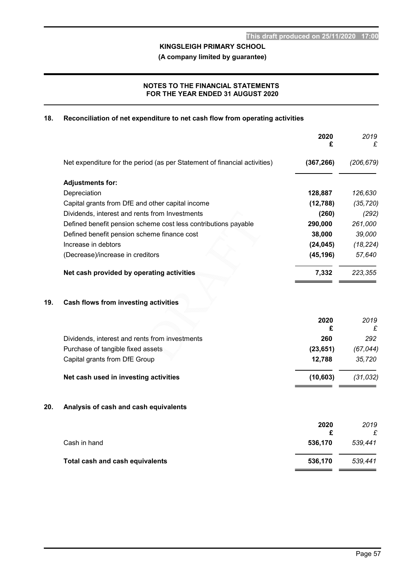(A company limited by guarantee)

### NOTES TO THE FINANCIAL STATEMENTS FOR THE YEAR ENDED 31 AUGUST 2020

### 18. Reconciliation of net expenditure to net cash flow from operating activities

|     |                                                                           | 2020<br>£    | 2019<br>£    |
|-----|---------------------------------------------------------------------------|--------------|--------------|
|     | Net expenditure for the period (as per Statement of financial activities) | (367, 266)   | (206, 679)   |
|     | <b>Adjustments for:</b>                                                   |              |              |
|     | Depreciation                                                              | 128,887      | 126,630      |
|     | Capital grants from DfE and other capital income                          | (12, 788)    | (35, 720)    |
|     | Dividends, interest and rents from Investments                            | (260)        | (292)        |
|     | Defined benefit pension scheme cost less contributions payable            | 290,000      | 261,000      |
|     | Defined benefit pension scheme finance cost                               | 38,000       | 39,000       |
|     | Increase in debtors                                                       | (24, 045)    | (18, 224)    |
|     | (Decrease)/increase in creditors                                          | (45, 196)    | 57,640       |
|     | Net cash provided by operating activities                                 | 7,332        | 223,355      |
| 19. | Cash flows from investing activities                                      |              |              |
|     |                                                                           | 2020<br>£    | 2019<br>£    |
|     | Dividends, interest and rents from investments                            | 260          | 292          |
|     | Purchase of tangible fixed assets                                         | (23, 651)    | (67, 044)    |
|     | Capital grants from DfE Group                                             | 12,788       | 35,720       |
|     | Net cash used in investing activities                                     | (10, 603)    | (31, 032)    |
| 20. | Analysis of cash and cash equivalents                                     |              |              |
|     |                                                                           | 2020         | 2019         |
|     | Cash in hand                                                              | £<br>536,170 | £<br>539,441 |
|     | Total cash and cash equivalents                                           | 536,170      | 539,441      |
|     |                                                                           |              |              |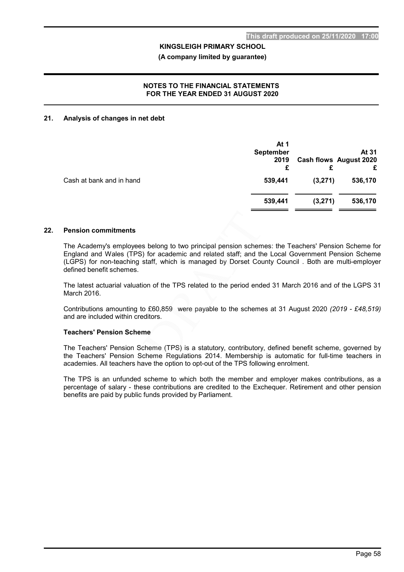#### (A company limited by guarantee)

#### NOTES TO THE FINANCIAL STATEMENTS FOR THE YEAR ENDED 31 AUGUST 2020

#### 21. Analysis of changes in net debt

|                          | At 1<br><b>September</b><br>2019<br>£ |         | At 31<br><b>Cash flows August 2020</b><br>£ |
|--------------------------|---------------------------------------|---------|---------------------------------------------|
| Cash at bank and in hand | 539,441                               | (3,271) | 536,170                                     |
|                          | 539,441                               | (3,271) | 536,170                                     |

#### 22. Pension commitments

The Academy's employees belong to two principal pension schemes: the Teachers' Pension Scheme for England and Wales (TPS) for academic and related staff; and the Local Government Pension Scheme (LGPS) for non-teaching staff, which is managed by Dorset County Council . Both are multi-employer defined benefit schemes.

The latest actuarial valuation of the TPS related to the period ended 31 March 2016 and of the LGPS 31 March 2016.

Contributions amounting to £60,859 were payable to the schemes at 31 August 2020 (2019 - £48,519) and are included within creditors.

#### Teachers' Pension Scheme

The Teachers' Pension Scheme (TPS) is a statutory, contributory, defined benefit scheme, governed by the Teachers' Pension Scheme Regulations 2014. Membership is automatic for full-time teachers in academies. All teachers have the option to opt-out of the TPS following enrolment.

The TPS is an unfunded scheme to which both the member and employer makes contributions, as a percentage of salary - these contributions are credited to the Exchequer. Retirement and other pension benefits are paid by public funds provided by Parliament.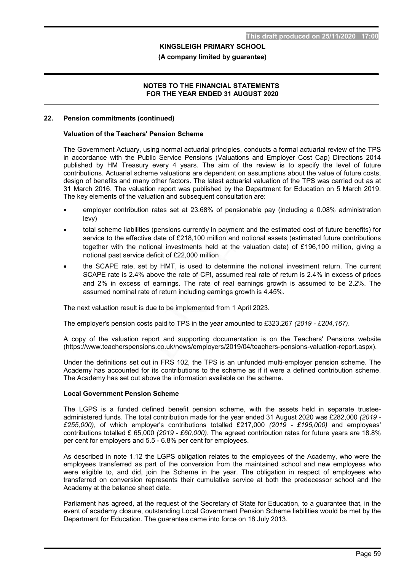#### (A company limited by guarantee)

#### NOTES TO THE FINANCIAL STATEMENTS FOR THE YEAR ENDED 31 AUGUST 2020

#### 22. Pension commitments (continued)

#### Valuation of the Teachers' Pension Scheme

The Government Actuary, using normal actuarial principles, conducts a formal actuarial review of the TPS in accordance with the Public Service Pensions (Valuations and Employer Cost Cap) Directions 2014 published by HM Treasury every 4 years. The aim of the review is to specify the level of future contributions. Actuarial scheme valuations are dependent on assumptions about the value of future costs, design of benefits and many other factors. The latest actuarial valuation of the TPS was carried out as at 31 March 2016. The valuation report was published by the Department for Education on 5 March 2019. The key elements of the valuation and subsequent consultation are:

- employer contribution rates set at 23.68% of pensionable pay (including a 0.08% administration levy)
- total scheme liabilities (pensions currently in payment and the estimated cost of future benefits) for service to the effective date of £218,100 million and notional assets (estimated future contributions together with the notional investments held at the valuation date) of £196,100 million, giving a notional past service deficit of £22,000 million
- the SCAPE rate, set by HMT, is used to determine the notional investment return. The current SCAPE rate is 2.4% above the rate of CPI, assumed real rate of return is 2.4% in excess of prices and 2% in excess of earnings. The rate of real earnings growth is assumed to be 2.2%. The assumed nominal rate of return including earnings growth is 4.45%.

The next valuation result is due to be implemented from 1 April 2023.

The employer's pension costs paid to TPS in the year amounted to £323,267 (2019 - £204,167).

A copy of the valuation report and supporting documentation is on the Teachers' Pensions website (https://www.teacherspensions.co.uk/news/employers/2019/04/teachers-pensions-valuation-report.aspx).

Under the definitions set out in FRS 102, the TPS is an unfunded multi-employer pension scheme. The Academy has accounted for its contributions to the scheme as if it were a defined contribution scheme. The Academy has set out above the information available on the scheme.

#### Local Government Pension Scheme

The LGPS is a funded defined benefit pension scheme, with the assets held in separate trusteeadministered funds. The total contribution made for the year ended 31 August 2020 was £282,000 (2019 - £255,000), of which employer's contributions totalled £217,000 (2019 - £195,000) and employees' contributions totalled £ 65,000 (2019 - £60,000). The agreed contribution rates for future years are 18.8% per cent for employers and 5.5 - 6.8% per cent for employees.

As described in note 1.12 the LGPS obligation relates to the employees of the Academy, who were the employees transferred as part of the conversion from the maintained school and new employees who were eligible to, and did, join the Scheme in the year. The obligation in respect of employees who transferred on conversion represents their cumulative service at both the predecessor school and the Academy at the balance sheet date.

Parliament has agreed, at the request of the Secretary of State for Education, to a guarantee that, in the event of academy closure, outstanding Local Government Pension Scheme liabilities would be met by the Department for Education. The guarantee came into force on 18 July 2013.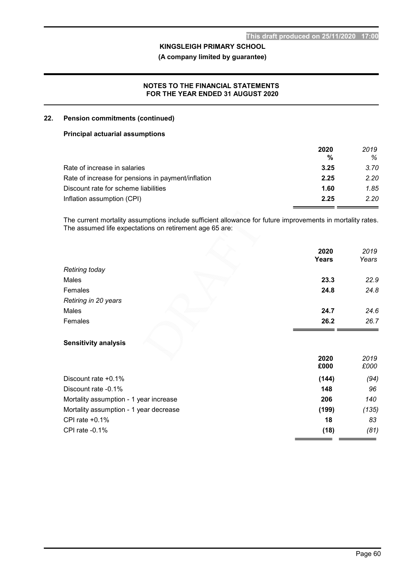(A company limited by guarantee)

#### NOTES TO THE FINANCIAL STATEMENTS FOR THE YEAR ENDED 31 AUGUST 2020

#### 22. Pension commitments (continued)

#### Principal actuarial assumptions

| 2020 | 2019 |
|------|------|
| %    | ℅    |
| 3.25 | 3.70 |
| 2.25 | 2.20 |
| 1.60 | 1.85 |
| 2.25 | 2.20 |
|      |      |

The current mortality assumptions include sufficient allowance for future improvements in mortality rates. The assumed life expectations on retirement age 65 are:

|                                        | 2020<br>Years | 2019<br>Years |
|----------------------------------------|---------------|---------------|
| Retiring today                         |               |               |
| Males                                  | 23.3          | 22.9          |
| Females                                | 24.8          | 24.8          |
| Retiring in 20 years                   |               |               |
| Males                                  | 24.7          | 24.6          |
| Females                                | 26.2          | 26.7          |
| <b>Sensitivity analysis</b>            | 2020<br>£000  | 2019<br>£000  |
| Discount rate +0.1%                    | (144)         | (94)          |
| Discount rate -0.1%                    | 148           | 96            |
| Mortality assumption - 1 year increase | 206           | 140           |
| Mortality assumption - 1 year decrease | (199)         | (135)         |
| CPI rate $+0.1\%$                      | 18            | 83            |
| CPI rate $-0.1%$                       | (18)          | (81)          |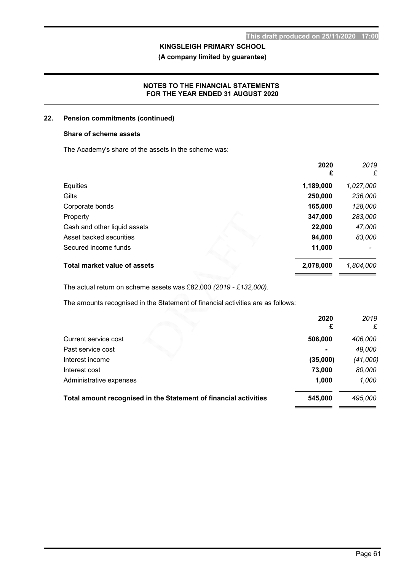(A company limited by guarantee)

#### NOTES TO THE FINANCIAL STATEMENTS FOR THE YEAR ENDED 31 AUGUST 2020

#### 22. Pension commitments (continued)

#### Share of scheme assets

The Academy's share of the assets in the scheme was:

|                              | 2020<br>£ | 2019<br>£ |
|------------------------------|-----------|-----------|
| Equities                     | 1,189,000 | 1,027,000 |
| Gilts                        | 250,000   | 236,000   |
| Corporate bonds              | 165,000   | 128,000   |
| Property                     | 347,000   | 283,000   |
| Cash and other liquid assets | 22,000    | 47,000    |
| Asset backed securities      | 94,000    | 83,000    |
| Secured income funds         | 11,000    |           |
| Total market value of assets | 2,078,000 | 1,804,000 |

The actual return on scheme assets was £82,000 (2019 - £132,000).

The amounts recognised in the Statement of financial activities are as follows:

|                                                                  | 2020<br>£      | 2019<br>£ |
|------------------------------------------------------------------|----------------|-----------|
| Current service cost                                             | 506,000        | 406,000   |
| Past service cost                                                | $\blacksquare$ | 49,000    |
| Interest income                                                  | (35,000)       | (41,000)  |
| Interest cost                                                    | 73,000         | 80,000    |
| Administrative expenses                                          | 1,000          | 1,000     |
| Total amount recognised in the Statement of financial activities | 545,000        | 495,000   |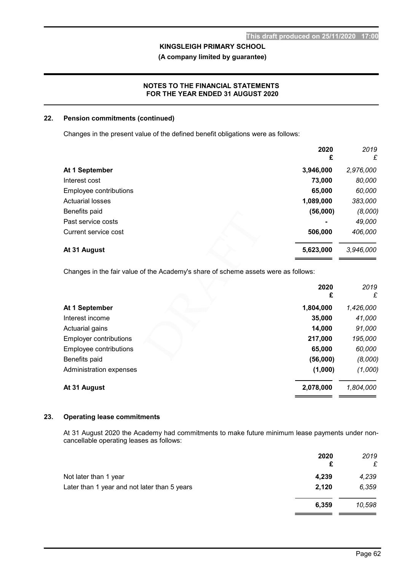(A company limited by guarantee)

#### NOTES TO THE FINANCIAL STATEMENTS FOR THE YEAR ENDED 31 AUGUST 2020

#### 22. Pension commitments (continued)

Changes in the present value of the defined benefit obligations were as follows:

|                         | 2020<br>£ | 2019<br>£ |
|-------------------------|-----------|-----------|
| At 1 September          | 3,946,000 | 2,976,000 |
| Interest cost           | 73,000    | 80,000    |
| Employee contributions  | 65,000    | 60,000    |
| <b>Actuarial losses</b> | 1,089,000 | 383,000   |
| Benefits paid           | (56,000)  | (8,000)   |
| Past service costs      |           | 49,000    |
| Current service cost    | 506,000   | 406,000   |
| At 31 August            | 5,623,000 | 3,946,000 |

Changes in the fair value of the Academy's share of scheme assets were as follows:

|                               | 2020      | 2019      |
|-------------------------------|-----------|-----------|
|                               | £         | £         |
| At 1 September                | 1,804,000 | 1,426,000 |
| Interest income               | 35,000    | 41,000    |
| Actuarial gains               | 14,000    | 91,000    |
| <b>Employer contributions</b> | 217,000   | 195,000   |
| Employee contributions        | 65,000    | 60,000    |
| Benefits paid                 | (56,000)  | (8,000)   |
| Administration expenses       | (1,000)   | (1,000)   |
| At 31 August                  | 2,078,000 | 1,804,000 |
|                               |           |           |

#### 23. Operating lease commitments

At 31 August 2020 the Academy had commitments to make future minimum lease payments under noncancellable operating leases as follows:

|                                              | 2020<br>£ | 2019<br>£ |
|----------------------------------------------|-----------|-----------|
| Not later than 1 year                        | 4,239     | 4,239     |
| Later than 1 year and not later than 5 years | 2,120     | 6,359     |
|                                              | 6,359     | 10,598    |